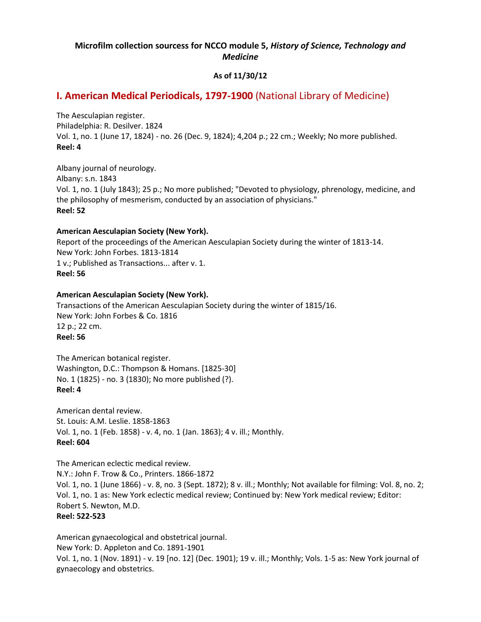# **Microfilm collection sourcess for NCCO module 5,** *History of Science, Technology and Medicine*

# **As of 11/30/12**

# **I. American Medical Periodicals, 1797-1900** (National Library of Medicine)

The Aesculapian register. Philadelphia: R. Desilver. 1824 Vol. 1, no. 1 (June 17, 1824) - no. 26 (Dec. 9, 1824); 4,204 p.; 22 cm.; Weekly; No more published. **Reel: 4**

Albany journal of neurology. Albany: s.n. 1843 Vol. 1, no. 1 (July 1843); 25 p.; No more published; "Devoted to physiology, phrenology, medicine, and the philosophy of mesmerism, conducted by an association of physicians." **Reel: 52**

## **American Aesculapian Society (New York).**

Report of the proceedings of the American Aesculapian Society during the winter of 1813-14. New York: John Forbes. 1813-1814 1 v.; Published as Transactions... after v. 1. **Reel: 56**

## **American Aesculapian Society (New York).**

Transactions of the American Aesculapian Society during the winter of 1815/16. New York: John Forbes & Co. 1816 12 p.; 22 cm. **Reel: 56**

The American botanical register. Washington, D.C.: Thompson & Homans. [1825-30] No. 1 (1825) - no. 3 (1830); No more published (?). **Reel: 4**

American dental review. St. Louis: A.M. Leslie. 1858-1863 Vol. 1, no. 1 (Feb. 1858) - v. 4, no. 1 (Jan. 1863); 4 v. ill.; Monthly. **Reel: 604**

The American eclectic medical review. N.Y.: John F. Trow & Co., Printers. 1866-1872 Vol. 1, no. 1 (June 1866) - v. 8, no. 3 (Sept. 1872); 8 v. ill.; Monthly; Not available for filming: Vol. 8, no. 2; Vol. 1, no. 1 as: New York eclectic medical review; Continued by: New York medical review; Editor: Robert S. Newton, M.D. **Reel: 522-523**

American gynaecological and obstetrical journal. New York: D. Appleton and Co. 1891-1901 Vol. 1, no. 1 (Nov. 1891) - v. 19 [no. 12] (Dec. 1901); 19 v. ill.; Monthly; Vols. 1-5 as: New York journal of gynaecology and obstetrics.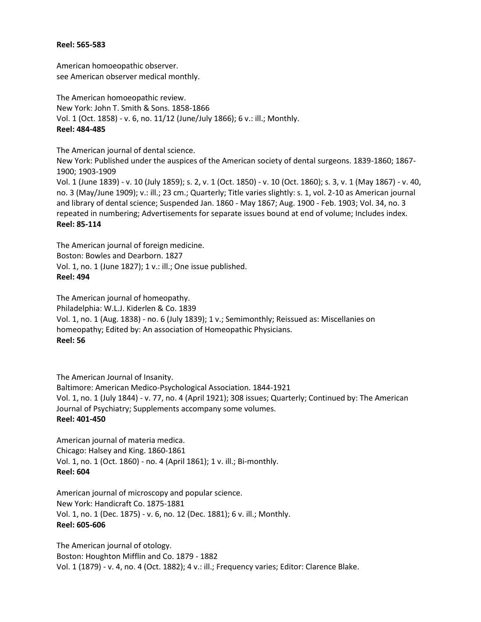#### **Reel: 565-583**

American homoeopathic observer. see American observer medical monthly.

The American homoeopathic review. New York: John T. Smith & Sons. 1858-1866 Vol. 1 (Oct. 1858) - v. 6, no. 11/12 (June/July 1866); 6 v.: ill.; Monthly. **Reel: 484-485**

The American journal of dental science.

New York: Published under the auspices of the American society of dental surgeons. 1839-1860; 1867- 1900; 1903-1909

Vol. 1 (June 1839) - v. 10 (July 1859); s. 2, v. 1 (Oct. 1850) - v. 10 (Oct. 1860); s. 3, v. 1 (May 1867) - v. 40, no. 3 (May/June 1909); v.: ill.; 23 cm.; Quarterly; Title varies slightly: s. 1, vol. 2-10 as American journal and library of dental science; Suspended Jan. 1860 - May 1867; Aug. 1900 - Feb. 1903; Vol. 34, no. 3 repeated in numbering; Advertisements for separate issues bound at end of volume; Includes index. **Reel: 85-114**

The American journal of foreign medicine. Boston: Bowles and Dearborn. 1827 Vol. 1, no. 1 (June 1827); 1 v.: ill.; One issue published. **Reel: 494**

The American journal of homeopathy. Philadelphia: W.L.J. Kiderlen & Co. 1839 Vol. 1, no. 1 (Aug. 1838) - no. 6 (July 1839); 1 v.; Semimonthly; Reissued as: Miscellanies on homeopathy; Edited by: An association of Homeopathic Physicians. **Reel: 56**

The American Journal of Insanity. Baltimore: American Medico-Psychological Association. 1844-1921 Vol. 1, no. 1 (July 1844) - v. 77, no. 4 (April 1921); 308 issues; Quarterly; Continued by: The American Journal of Psychiatry; Supplements accompany some volumes. **Reel: 401-450**

American journal of materia medica. Chicago: Halsey and King. 1860-1861 Vol. 1, no. 1 (Oct. 1860) - no. 4 (April 1861); 1 v. ill.; Bi-monthly. **Reel: 604**

American journal of microscopy and popular science. New York: Handicraft Co. 1875-1881 Vol. 1, no. 1 (Dec. 1875) - v. 6, no. 12 (Dec. 1881); 6 v. ill.; Monthly. **Reel: 605-606**

The American journal of otology. Boston: Houghton Mifflin and Co. 1879 - 1882 Vol. 1 (1879) - v. 4, no. 4 (Oct. 1882); 4 v.: ill.; Frequency varies; Editor: Clarence Blake.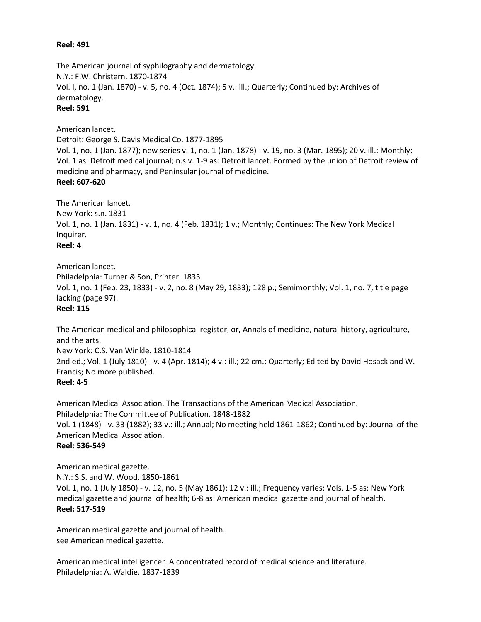#### **Reel: 491**

The American journal of syphilography and dermatology. N.Y.: F.W. Christern. 1870-1874 Vol. I, no. 1 (Jan. 1870) - v. 5, no. 4 (Oct. 1874); 5 v.: ill.; Quarterly; Continued by: Archives of dermatology.

# **Reel: 591**

American lancet.

Detroit: George S. Davis Medical Co. 1877-1895 Vol. 1, no. 1 (Jan. 1877); new series v. 1, no. 1 (Jan. 1878) - v. 19, no. 3 (Mar. 1895); 20 v. ill.; Monthly; Vol. 1 as: Detroit medical journal; n.s.v. 1-9 as: Detroit lancet. Formed by the union of Detroit review of medicine and pharmacy, and Peninsular journal of medicine. **Reel: 607-620**

The American lancet. New York: s.n. 1831 Vol. 1, no. 1 (Jan. 1831) - v. 1, no. 4 (Feb. 1831); 1 v.; Monthly; Continues: The New York Medical Inquirer. **Reel: 4**

American lancet. Philadelphia: Turner & Son, Printer. 1833 Vol. 1, no. 1 (Feb. 23, 1833) - v. 2, no. 8 (May 29, 1833); 128 p.; Semimonthly; Vol. 1, no. 7, title page lacking (page 97). **Reel: 115**

The American medical and philosophical register, or, Annals of medicine, natural history, agriculture, and the arts. New York: C.S. Van Winkle. 1810-1814 2nd ed.; Vol. 1 (July 1810) - v. 4 (Apr. 1814); 4 v.: ill.; 22 cm.; Quarterly; Edited by David Hosack and W. Francis; No more published.

## **Reel: 4-5**

American Medical Association. The Transactions of the American Medical Association. Philadelphia: The Committee of Publication. 1848-1882 Vol. 1 (1848) - v. 33 (1882); 33 v.: ill.; Annual; No meeting held 1861-1862; Continued by: Journal of the American Medical Association. **Reel: 536-549**

American medical gazette. N.Y.: S.S. and W. Wood. 1850-1861 Vol. 1, no. 1 (July 1850) - v. 12, no. 5 (May 1861); 12 v.: ill.; Frequency varies; Vols. 1-5 as: New York medical gazette and journal of health; 6-8 as: American medical gazette and journal of health. **Reel: 517-519**

American medical gazette and journal of health. see American medical gazette.

American medical intelligencer. A concentrated record of medical science and literature. Philadelphia: A. Waldie. 1837-1839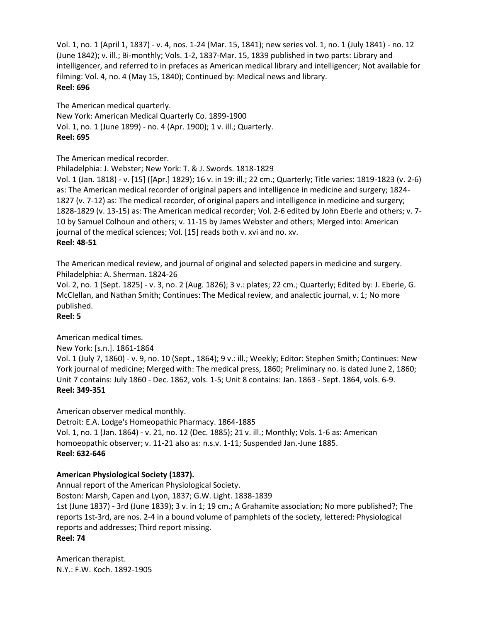Vol. 1, no. 1 (April 1, 1837) - v. 4, nos. 1-24 (Mar. 15, 1841); new series vol. 1, no. 1 (July 1841) - no. 12 (June 1842); v. ill.; Bi-monthly; Vols. 1-2, 1837-Mar. 15, 1839 published in two parts: Library and intelligencer, and referred to in prefaces as American medical library and intelligencer; Not available for filming: Vol. 4, no. 4 (May 15, 1840); Continued by: Medical news and library. **Reel: 696**

The American medical quarterly.

New York: American Medical Quarterly Co. 1899-1900 Vol. 1, no. 1 (June 1899) - no. 4 (Apr. 1900); 1 v. ill.; Quarterly. **Reel: 695**

The American medical recorder.

Philadelphia: J. Webster; New York: T. & J. Swords. 1818-1829

Vol. 1 (Jan. 1818) - v. [15] ([Apr.] 1829); 16 v. in 19: ill.; 22 cm.; Quarterly; Title varies: 1819-1823 (v. 2-6) as: The American medical recorder of original papers and intelligence in medicine and surgery; 1824- 1827 (v. 7-12) as: The medical recorder, of original papers and intelligence in medicine and surgery; 1828-1829 (v. 13-15) as: The American medical recorder; Vol. 2-6 edited by John Eberle and others; v. 7- 10 by Samuel Colhoun and others; v. 11-15 by James Webster and others; Merged into: American journal of the medical sciences; Vol. [15] reads both v. xvi and no. xv. **Reel: 48-51**

The American medical review, and journal of original and selected papers in medicine and surgery. Philadelphia: A. Sherman. 1824-26

Vol. 2, no. 1 (Sept. 1825) - v. 3, no. 2 (Aug. 1826); 3 v.: plates; 22 cm.; Quarterly; Edited by: J. Eberle, G. McClellan, and Nathan Smith; Continues: The Medical review, and analectic journal, v. 1; No more published.

**Reel: 5**

# American medical times.

New York: [s.n.]. 1861-1864

Vol. 1 (July 7, 1860) - v. 9, no. 10 (Sept., 1864); 9 v.: ill.; Weekly; Editor: Stephen Smith; Continues: New York journal of medicine; Merged with: The medical press, 1860; Preliminary no. is dated June 2, 1860; Unit 7 contains: July 1860 - Dec. 1862, vols. 1-5; Unit 8 contains: Jan. 1863 - Sept. 1864, vols. 6-9. **Reel: 349-351**

American observer medical monthly.

Detroit: E.A. Lodge's Homeopathic Pharmacy. 1864-1885 Vol. 1, no. 1 (Jan. 1864) - v. 21, no. 12 (Dec. 1885); 21 v. ill.; Monthly; Vols. 1-6 as: American homoeopathic observer; v. 11-21 also as: n.s.v. 1-11; Suspended Jan.-June 1885. **Reel: 632-646**

# **American Physiological Society (1837).**

Annual report of the American Physiological Society. Boston: Marsh, Capen and Lyon, 1837; G.W. Light. 1838-1839 1st (June 1837) - 3rd (June 1839); 3 v. in 1; 19 cm.; A Grahamite association; No more published?; The reports 1st-3rd, are nos. 2-4 in a bound volume of pamphlets of the society, lettered: Physiological reports and addresses; Third report missing. **Reel: 74**

American therapist. N.Y.: F.W. Koch. 1892-1905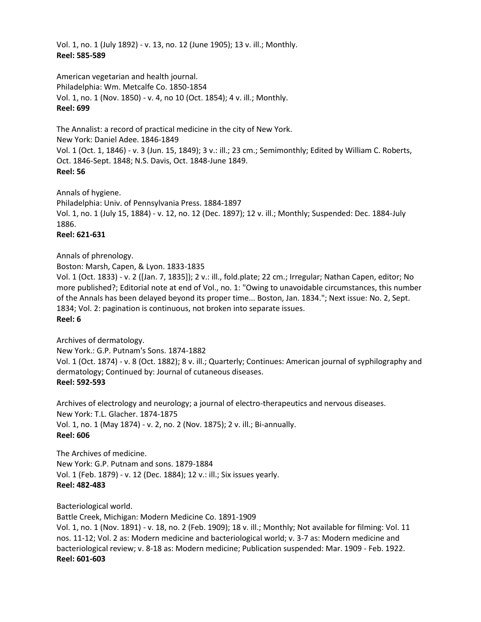Vol. 1, no. 1 (July 1892) - v. 13, no. 12 (June 1905); 13 v. ill.; Monthly. **Reel: 585-589**

American vegetarian and health journal. Philadelphia: Wm. Metcalfe Co. 1850-1854 Vol. 1, no. 1 (Nov. 1850) - v. 4, no 10 (Oct. 1854); 4 v. ill.; Monthly. **Reel: 699**

The Annalist: a record of practical medicine in the city of New York. New York: Daniel Adee. 1846-1849 Vol. 1 (Oct. 1, 1846) - v. 3 (Jun. 15, 1849); 3 v.: ill.; 23 cm.; Semimonthly; Edited by William C. Roberts, Oct. 1846-Sept. 1848; N.S. Davis, Oct. 1848-June 1849. **Reel: 56**

Annals of hygiene. Philadelphia: Univ. of Pennsylvania Press. 1884-1897 Vol. 1, no. 1 (July 15, 1884) - v. 12, no. 12 (Dec. 1897); 12 v. ill.; Monthly; Suspended: Dec. 1884-July 1886. **Reel: 621-631**

Annals of phrenology.

Boston: Marsh, Capen, & Lyon. 1833-1835 Vol. 1 (Oct. 1833) - v. 2 ([Jan. 7, 1835]); 2 v.: ill., fold.plate; 22 cm.; Irregular; Nathan Capen, editor; No more published?; Editorial note at end of Vol., no. 1: "Owing to unavoidable circumstances, this number of the Annals has been delayed beyond its proper time... Boston, Jan. 1834."; Next issue: No. 2, Sept. 1834; Vol. 2: pagination is continuous, not broken into separate issues. **Reel: 6**

Archives of dermatology. New York.: G.P. Putnam's Sons. 1874-1882 Vol. 1 (Oct. 1874) - v. 8 (Oct. 1882); 8 v. ill.; Quarterly; Continues: American journal of syphilography and dermatology; Continued by: Journal of cutaneous diseases. **Reel: 592-593**

Archives of electrology and neurology; a journal of electro-therapeutics and nervous diseases. New York: T.L. Glacher. 1874-1875 Vol. 1, no. 1 (May 1874) - v. 2, no. 2 (Nov. 1875); 2 v. ill.; Bi-annually. **Reel: 606**

The Archives of medicine. New York: G.P. Putnam and sons. 1879-1884 Vol. 1 (Feb. 1879) - v. 12 (Dec. 1884); 12 v.: ill.; Six issues yearly. **Reel: 482-483**

Bacteriological world.

Battle Creek, Michigan: Modern Medicine Co. 1891-1909

Vol. 1, no. 1 (Nov. 1891) - v. 18, no. 2 (Feb. 1909); 18 v. ill.; Monthly; Not available for filming: Vol. 11 nos. 11-12; Vol. 2 as: Modern medicine and bacteriological world; v. 3-7 as: Modern medicine and bacteriological review; v. 8-18 as: Modern medicine; Publication suspended: Mar. 1909 - Feb. 1922. **Reel: 601-603**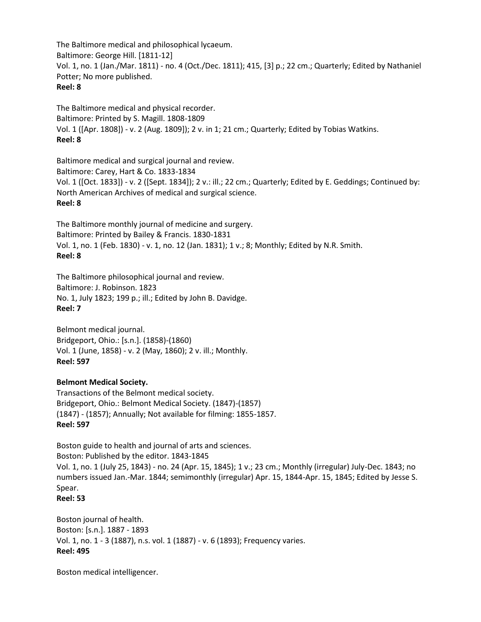The Baltimore medical and philosophical lycaeum. Baltimore: George Hill. [1811-12] Vol. 1, no. 1 (Jan./Mar. 1811) - no. 4 (Oct./Dec. 1811); 415, [3] p.; 22 cm.; Quarterly; Edited by Nathaniel Potter; No more published. **Reel: 8**

The Baltimore medical and physical recorder. Baltimore: Printed by S. Magill. 1808-1809 Vol. 1 ([Apr. 1808]) - v. 2 (Aug. 1809]); 2 v. in 1; 21 cm.; Quarterly; Edited by Tobias Watkins. **Reel: 8**

Baltimore medical and surgical journal and review. Baltimore: Carey, Hart & Co. 1833-1834 Vol. 1 ([Oct. 1833]) - v. 2 ([Sept. 1834]); 2 v.: ill.; 22 cm.; Quarterly; Edited by E. Geddings; Continued by: North American Archives of medical and surgical science. **Reel: 8**

The Baltimore monthly journal of medicine and surgery. Baltimore: Printed by Bailey & Francis. 1830-1831 Vol. 1, no. 1 (Feb. 1830) - v. 1, no. 12 (Jan. 1831); 1 v.; 8; Monthly; Edited by N.R. Smith. **Reel: 8**

The Baltimore philosophical journal and review. Baltimore: J. Robinson. 1823 No. 1, July 1823; 199 p.; ill.; Edited by John B. Davidge. **Reel: 7**

Belmont medical journal. Bridgeport, Ohio.: [s.n.]. (1858)-(1860) Vol. 1 (June, 1858) - v. 2 (May, 1860); 2 v. ill.; Monthly. **Reel: 597**

# **Belmont Medical Society.**

Transactions of the Belmont medical society. Bridgeport, Ohio.: Belmont Medical Society. (1847)-(1857) (1847) - (1857); Annually; Not available for filming: 1855-1857. **Reel: 597**

Boston guide to health and journal of arts and sciences. Boston: Published by the editor. 1843-1845 Vol. 1, no. 1 (July 25, 1843) - no. 24 (Apr. 15, 1845); 1 v.; 23 cm.; Monthly (irregular) July-Dec. 1843; no numbers issued Jan.-Mar. 1844; semimonthly (irregular) Apr. 15, 1844-Apr. 15, 1845; Edited by Jesse S. Spear.

**Reel: 53**

Boston journal of health. Boston: [s.n.]. 1887 - 1893 Vol. 1, no. 1 - 3 (1887), n.s. vol. 1 (1887) - v. 6 (1893); Frequency varies. **Reel: 495**

Boston medical intelligencer.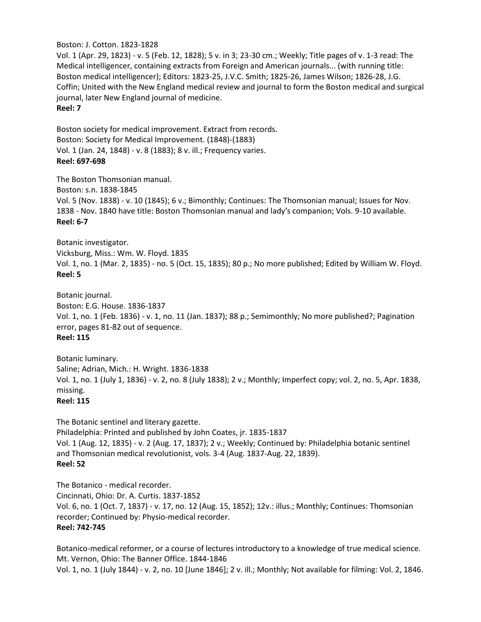#### Boston: J. Cotton. 1823-1828

Vol. 1 (Apr. 29, 1823) - v. 5 (Feb. 12, 1828); 5 v. in 3; 23-30 cm.; Weekly; Title pages of v. 1-3 read: The Medical intelligencer, containing extracts from Foreign and American journals... (with running title: Boston medical intelligencer); Editors: 1823-25, J.V.C. Smith; 1825-26, James Wilson; 1826-28, J.G. Coffin; United with the New England medical review and journal to form the Boston medical and surgical journal, later New England journal of medicine. **Reel: 7**

Boston society for medical improvement. Extract from records. Boston: Society for Medical Improvement. (1848)-(1883) Vol. 1 (Jan. 24, 1848) - v. 8 (1883); 8 v. ill.; Frequency varies. **Reel: 697-698**

The Boston Thomsonian manual. Boston: s.n. 1838-1845 Vol. 5 (Nov. 1838) - v. 10 (1845); 6 v.; Bimonthly; Continues: The Thomsonian manual; Issues for Nov. 1838 - Nov. 1840 have title: Boston Thomsonian manual and lady's companion; Vols. 9-10 available. **Reel: 6-7**

Botanic investigator. Vicksburg, Miss.: Wm. W. Floyd. 1835 Vol. 1, no. 1 (Mar. 2, 1835) - no. 5 (Oct. 15, 1835); 80 p.; No more published; Edited by William W. Floyd. **Reel: 5**

Botanic journal. Boston: E.G. House. 1836-1837 Vol. 1, no. 1 (Feb. 1836) - v. 1, no. 11 (Jan. 1837); 88 p.; Semimonthly; No more published?; Pagination error, pages 81-82 out of sequence. **Reel: 115**

Botanic luminary. Saline; Adrian, Mich.: H. Wright. 1836-1838 Vol. 1, no. 1 (July 1, 1836) - v. 2, no. 8 (July 1838); 2 v.; Monthly; Imperfect copy; vol. 2, no. 5, Apr. 1838, missing.

**Reel: 115**

The Botanic sentinel and literary gazette. Philadelphia: Printed and published by John Coates, jr. 1835-1837 Vol. 1 (Aug. 12, 1835) - v. 2 (Aug. 17, 1837); 2 v.; Weekly; Continued by: Philadelphia botanic sentinel and Thomsonian medical revolutionist, vols. 3-4 (Aug. 1837-Aug. 22, 1839). **Reel: 52**

The Botanico - medical recorder. Cincinnati, Ohio: Dr. A. Curtis. 1837-1852 Vol. 6, no. 1 (Oct. 7, 1837) - v. 17, no. 12 (Aug. 15, 1852); 12v.: illus.; Monthly; Continues: Thomsonian recorder; Continued by: Physio-medical recorder. **Reel: 742-745**

Botanico-medical reformer, or a course of lectures introductory to a knowledge of true medical science. Mt. Vernon, Ohio: The Banner Office. 1844-1846 Vol. 1, no. 1 (July 1844) - v. 2, no. 10 [June 1846]; 2 v. ill.; Monthly; Not available for filming: Vol. 2, 1846.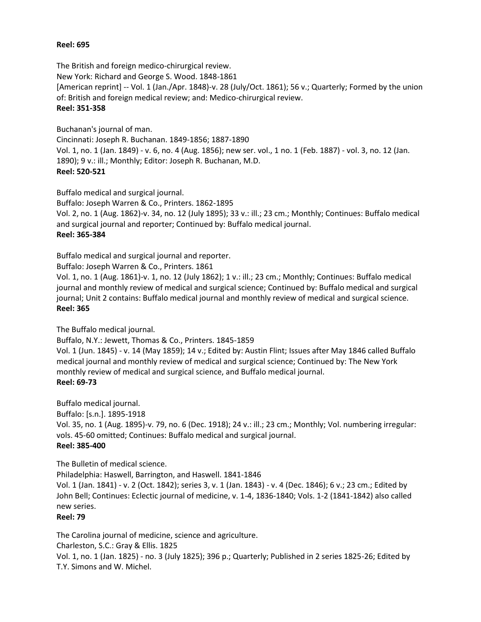#### **Reel: 695**

The British and foreign medico-chirurgical review. New York: Richard and George S. Wood. 1848-1861 [American reprint] -- Vol. 1 (Jan./Apr. 1848)-v. 28 (July/Oct. 1861); 56 v.; Quarterly; Formed by the union of: British and foreign medical review; and: Medico-chirurgical review. **Reel: 351-358**

Buchanan's journal of man.

Cincinnati: Joseph R. Buchanan. 1849-1856; 1887-1890 Vol. 1, no. 1 (Jan. 1849) - v. 6, no. 4 (Aug. 1856); new ser. vol., 1 no. 1 (Feb. 1887) - vol. 3, no. 12 (Jan. 1890); 9 v.: ill.; Monthly; Editor: Joseph R. Buchanan, M.D. **Reel: 520-521**

Buffalo medical and surgical journal.

Buffalo: Joseph Warren & Co., Printers. 1862-1895 Vol. 2, no. 1 (Aug. 1862)-v. 34, no. 12 (July 1895); 33 v.: ill.; 23 cm.; Monthly; Continues: Buffalo medical and surgical journal and reporter; Continued by: Buffalo medical journal. **Reel: 365-384**

Buffalo medical and surgical journal and reporter.

Buffalo: Joseph Warren & Co., Printers. 1861

Vol. 1, no. 1 (Aug. 1861)-v. 1, no. 12 (July 1862); 1 v.: ill.; 23 cm.; Monthly; Continues: Buffalo medical journal and monthly review of medical and surgical science; Continued by: Buffalo medical and surgical journal; Unit 2 contains: Buffalo medical journal and monthly review of medical and surgical science. **Reel: 365**

The Buffalo medical journal.

Buffalo, N.Y.: Jewett, Thomas & Co., Printers. 1845-1859

Vol. 1 (Jun. 1845) - v. 14 (May 1859); 14 v.; Edited by: Austin Flint; Issues after May 1846 called Buffalo medical journal and monthly review of medical and surgical science; Continued by: The New York monthly review of medical and surgical science, and Buffalo medical journal. **Reel: 69-73**

Buffalo medical journal.

Buffalo: [s.n.]. 1895-1918

Vol. 35, no. 1 (Aug. 1895)-v. 79, no. 6 (Dec. 1918); 24 v.: ill.; 23 cm.; Monthly; Vol. numbering irregular: vols. 45-60 omitted; Continues: Buffalo medical and surgical journal.

## **Reel: 385-400**

The Bulletin of medical science.

Philadelphia: Haswell, Barrington, and Haswell. 1841-1846 Vol. 1 (Jan. 1841) - v. 2 (Oct. 1842); series 3, v. 1 (Jan. 1843) - v. 4 (Dec. 1846); 6 v.; 23 cm.; Edited by John Bell; Continues: Eclectic journal of medicine, v. 1-4, 1836-1840; Vols. 1-2 (1841-1842) also called new series.

## **Reel: 79**

The Carolina journal of medicine, science and agriculture.

Charleston, S.C.: Gray & Ellis. 1825

Vol. 1, no. 1 (Jan. 1825) - no. 3 (July 1825); 396 p.; Quarterly; Published in 2 series 1825-26; Edited by T.Y. Simons and W. Michel.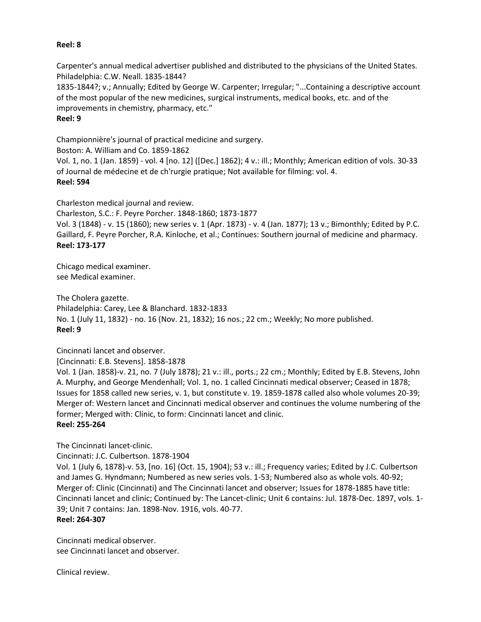#### **Reel: 8**

Carpenter's annual medical advertiser published and distributed to the physicians of the United States. Philadelphia: C.W. Neall. 1835-1844?

1835-1844?; v.; Annually; Edited by George W. Carpenter; Irregular; "...Containing a descriptive account of the most popular of the new medicines, surgical instruments, medical books, etc. and of the improvements in chemistry, pharmacy, etc." **Reel: 9**

Championnière's journal of practical medicine and surgery.

Boston: A. William and Co. 1859-1862

Vol. 1, no. 1 (Jan. 1859) - vol. 4 [no. 12] ([Dec.] 1862); 4 v.: ill.; Monthly; American edition of vols. 30-33 of Journal de médecine et de ch'rurgie pratique; Not available for filming: vol. 4. **Reel: 594**

Charleston medical journal and review.

Charleston, S.C.: F. Peyre Porcher. 1848-1860; 1873-1877

Vol. 3 (1848) - v. 15 (1860); new series v. 1 (Apr. 1873) - v. 4 (Jan. 1877); 13 v.; Bimonthly; Edited by P.C. Gaillard, F. Peyre Porcher, R.A. Kinloche, et al.; Continues: Southern journal of medicine and pharmacy. **Reel: 173-177**

Chicago medical examiner. see Medical examiner.

The Cholera gazette. Philadelphia: Carey, Lee & Blanchard. 1832-1833 No. 1 (July 11, 1832) - no. 16 (Nov. 21, 1832); 16 nos.; 22 cm.; Weekly; No more published. **Reel: 9**

Cincinnati lancet and observer.

[Cincinnati: E.B. Stevens]. 1858-1878

Vol. 1 (Jan. 1858)-v. 21, no. 7 (July 1878); 21 v.: ill., ports.; 22 cm.; Monthly; Edited by E.B. Stevens, John A. Murphy, and George Mendenhall; Vol. 1, no. 1 called Cincinnati medical observer; Ceased in 1878; Issues for 1858 called new series, v. 1, but constitute v. 19. 1859-1878 called also whole volumes 20-39; Merger of: Western lancet and Cincinnati medical observer and continues the volume numbering of the former; Merged with: Clinic, to form: Cincinnati lancet and clinic. **Reel: 255-264**

The Cincinnati lancet-clinic.

Cincinnati: J.C. Culbertson. 1878-1904

Vol. 1 (July 6, 1878)-v. 53, [no. 16] (Oct. 15, 1904); 53 v.: ill.; Frequency varies; Edited by J.C. Culbertson and James G. Hyndmann; Numbered as new series vols. 1-53; Numbered also as whole vols. 40-92; Merger of: Clinic (Cincinnati) and The Cincinnati lancet and observer; Issues for 1878-1885 have title: Cincinnati lancet and clinic; Continued by: The Lancet-clinic; Unit 6 contains: Jul. 1878-Dec. 1897, vols. 1- 39; Unit 7 contains: Jan. 1898-Nov. 1916, vols. 40-77.

**Reel: 264-307**

Cincinnati medical observer. see Cincinnati lancet and observer.

Clinical review.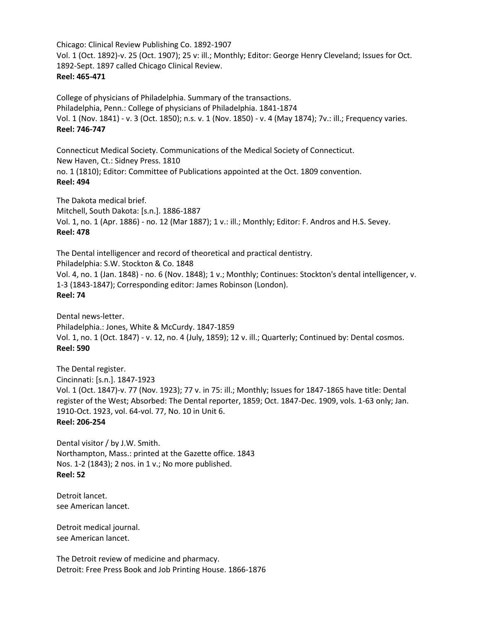Chicago: Clinical Review Publishing Co. 1892-1907 Vol. 1 (Oct. 1892)-v. 25 (Oct. 1907); 25 v: ill.; Monthly; Editor: George Henry Cleveland; Issues for Oct. 1892-Sept. 1897 called Chicago Clinical Review. **Reel: 465-471**

College of physicians of Philadelphia. Summary of the transactions. Philadelphia, Penn.: College of physicians of Philadelphia. 1841-1874 Vol. 1 (Nov. 1841) - v. 3 (Oct. 1850); n.s. v. 1 (Nov. 1850) - v. 4 (May 1874); 7v.: ill.; Frequency varies. **Reel: 746-747**

Connecticut Medical Society. Communications of the Medical Society of Connecticut. New Haven, Ct.: Sidney Press. 1810 no. 1 (1810); Editor: Committee of Publications appointed at the Oct. 1809 convention. **Reel: 494**

The Dakota medical brief. Mitchell, South Dakota: [s.n.]. 1886-1887 Vol. 1, no. 1 (Apr. 1886) - no. 12 (Mar 1887); 1 v.: ill.; Monthly; Editor: F. Andros and H.S. Sevey. **Reel: 478**

The Dental intelligencer and record of theoretical and practical dentistry. Philadelphia: S.W. Stockton & Co. 1848 Vol. 4, no. 1 (Jan. 1848) - no. 6 (Nov. 1848); 1 v.; Monthly; Continues: Stockton's dental intelligencer, v. 1-3 (1843-1847); Corresponding editor: James Robinson (London). **Reel: 74**

Dental news-letter. Philadelphia.: Jones, White & McCurdy. 1847-1859 Vol. 1, no. 1 (Oct. 1847) - v. 12, no. 4 (July, 1859); 12 v. ill.; Quarterly; Continued by: Dental cosmos. **Reel: 590**

The Dental register. Cincinnati: [s.n.]. 1847-1923 Vol. 1 (Oct. 1847)-v. 77 (Nov. 1923); 77 v. in 75: ill.; Monthly; Issues for 1847-1865 have title: Dental register of the West; Absorbed: The Dental reporter, 1859; Oct. 1847-Dec. 1909, vols. 1-63 only; Jan. 1910-Oct. 1923, vol. 64-vol. 77, No. 10 in Unit 6. **Reel: 206-254**

Dental visitor / by J.W. Smith. Northampton, Mass.: printed at the Gazette office. 1843 Nos. 1-2 (1843); 2 nos. in 1 v.; No more published. **Reel: 52**

Detroit lancet. see American lancet.

Detroit medical journal. see American lancet.

The Detroit review of medicine and pharmacy. Detroit: Free Press Book and Job Printing House. 1866-1876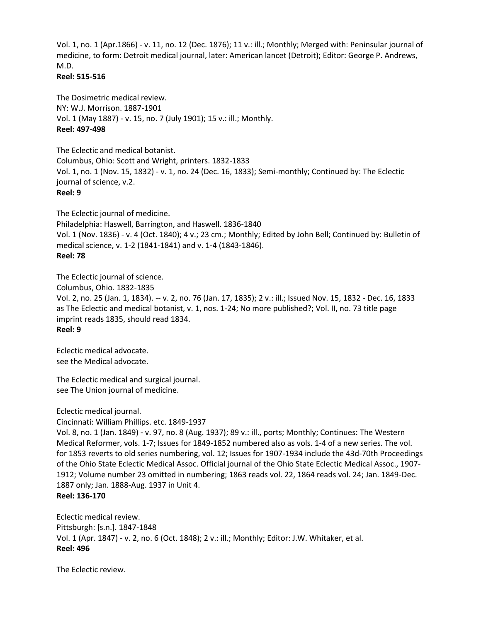Vol. 1, no. 1 (Apr.1866) - v. 11, no. 12 (Dec. 1876); 11 v.: ill.; Monthly; Merged with: Peninsular journal of medicine, to form: Detroit medical journal, later: American lancet (Detroit); Editor: George P. Andrews, M.D.

#### **Reel: 515-516**

The Dosimetric medical review. NY: W.J. Morrison. 1887-1901 Vol. 1 (May 1887) - v. 15, no. 7 (July 1901); 15 v.: ill.; Monthly. **Reel: 497-498**

The Eclectic and medical botanist. Columbus, Ohio: Scott and Wright, printers. 1832-1833 Vol. 1, no. 1 (Nov. 15, 1832) - v. 1, no. 24 (Dec. 16, 1833); Semi-monthly; Continued by: The Eclectic journal of science, v.2. **Reel: 9**

The Eclectic journal of medicine. Philadelphia: Haswell, Barrington, and Haswell. 1836-1840 Vol. 1 (Nov. 1836) - v. 4 (Oct. 1840); 4 v.; 23 cm.; Monthly; Edited by John Bell; Continued by: Bulletin of medical science, v. 1-2 (1841-1841) and v. 1-4 (1843-1846). **Reel: 78**

The Eclectic journal of science. Columbus, Ohio. 1832-1835 Vol. 2, no. 25 (Jan. 1, 1834). -- v. 2, no. 76 (Jan. 17, 1835); 2 v.: ill.; Issued Nov. 15, 1832 - Dec. 16, 1833 as The Eclectic and medical botanist, v. 1, nos. 1-24; No more published?; Vol. II, no. 73 title page imprint reads 1835, should read 1834. **Reel: 9**

Eclectic medical advocate. see the Medical advocate.

The Eclectic medical and surgical journal. see The Union journal of medicine.

Eclectic medical journal. Cincinnati: William Phillips. etc. 1849-1937

Vol. 8, no. 1 (Jan. 1849) - v. 97, no. 8 (Aug. 1937); 89 v.: ill., ports; Monthly; Continues: The Western Medical Reformer, vols. 1-7; Issues for 1849-1852 numbered also as vols. 1-4 of a new series. The vol. for 1853 reverts to old series numbering, vol. 12; Issues for 1907-1934 include the 43d-70th Proceedings of the Ohio State Eclectic Medical Assoc. Official journal of the Ohio State Eclectic Medical Assoc., 1907- 1912; Volume number 23 omitted in numbering; 1863 reads vol. 22, 1864 reads vol. 24; Jan. 1849-Dec. 1887 only; Jan. 1888-Aug. 1937 in Unit 4. **Reel: 136-170**

Eclectic medical review. Pittsburgh: [s.n.]. 1847-1848 Vol. 1 (Apr. 1847) - v. 2, no. 6 (Oct. 1848); 2 v.: ill.; Monthly; Editor: J.W. Whitaker, et al. **Reel: 496**

The Eclectic review.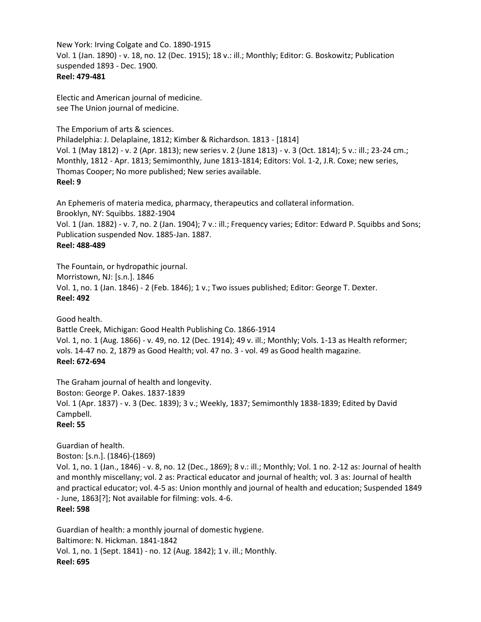New York: Irving Colgate and Co. 1890-1915 Vol. 1 (Jan. 1890) - v. 18, no. 12 (Dec. 1915); 18 v.: ill.; Monthly; Editor: G. Boskowitz; Publication suspended 1893 - Dec. 1900. **Reel: 479-481**

Electic and American journal of medicine. see The Union journal of medicine.

The Emporium of arts & sciences.

Philadelphia: J. Delaplaine, 1812; Kimber & Richardson. 1813 - [1814] Vol. 1 (May 1812) - v. 2 (Apr. 1813); new series v. 2 (June 1813) - v. 3 (Oct. 1814); 5 v.: ill.; 23-24 cm.; Monthly, 1812 - Apr. 1813; Semimonthly, June 1813-1814; Editors: Vol. 1-2, J.R. Coxe; new series, Thomas Cooper; No more published; New series available. **Reel: 9**

An Ephemeris of materia medica, pharmacy, therapeutics and collateral information. Brooklyn, NY: Squibbs. 1882-1904 Vol. 1 (Jan. 1882) - v. 7, no. 2 (Jan. 1904); 7 v.: ill.; Frequency varies; Editor: Edward P. Squibbs and Sons; Publication suspended Nov. 1885-Jan. 1887. **Reel: 488-489**

The Fountain, or hydropathic journal. Morristown, NJ: [s.n.]. 1846 Vol. 1, no. 1 (Jan. 1846) - 2 (Feb. 1846); 1 v.; Two issues published; Editor: George T. Dexter. **Reel: 492**

Good health. Battle Creek, Michigan: Good Health Publishing Co. 1866-1914 Vol. 1, no. 1 (Aug. 1866) - v. 49, no. 12 (Dec. 1914); 49 v. ill.; Monthly; Vols. 1-13 as Health reformer; vols. 14-47 no. 2, 1879 as Good Health; vol. 47 no. 3 - vol. 49 as Good health magazine. **Reel: 672-694**

The Graham journal of health and longevity. Boston: George P. Oakes. 1837-1839 Vol. 1 (Apr. 1837) - v. 3 (Dec. 1839); 3 v.; Weekly, 1837; Semimonthly 1838-1839; Edited by David Campbell. **Reel: 55**

Guardian of health. Boston: [s.n.]. (1846)-(1869) Vol. 1, no. 1 (Jan., 1846) - v. 8, no. 12 (Dec., 1869); 8 v.: ill.; Monthly; Vol. 1 no. 2-12 as: Journal of health and monthly miscellany; vol. 2 as: Practical educator and journal of health; vol. 3 as: Journal of health and practical educator; vol. 4-5 as: Union monthly and journal of health and education; Suspended 1849 - June, 1863[?]; Not available for filming: vols. 4-6. **Reel: 598**

Guardian of health: a monthly journal of domestic hygiene. Baltimore: N. Hickman. 1841-1842 Vol. 1, no. 1 (Sept. 1841) - no. 12 (Aug. 1842); 1 v. ill.; Monthly. **Reel: 695**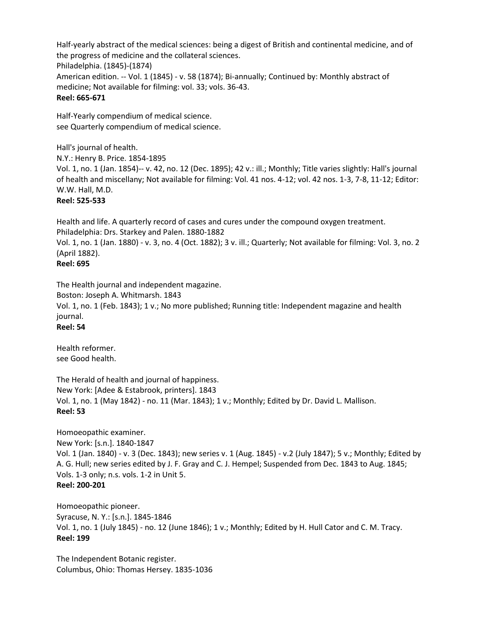Half-yearly abstract of the medical sciences: being a digest of British and continental medicine, and of the progress of medicine and the collateral sciences. Philadelphia. (1845)-(1874) American edition. -- Vol. 1 (1845) - v. 58 (1874); Bi-annually; Continued by: Monthly abstract of medicine; Not available for filming: vol. 33; vols. 36-43. **Reel: 665-671**

Half-Yearly compendium of medical science. see Quarterly compendium of medical science.

Hall's journal of health. N.Y.: Henry B. Price. 1854-1895 Vol. 1, no. 1 (Jan. 1854)-- v. 42, no. 12 (Dec. 1895); 42 v.: ill.; Monthly; Title varies slightly: Hall's journal of health and miscellany; Not available for filming: Vol. 41 nos. 4-12; vol. 42 nos. 1-3, 7-8, 11-12; Editor: W.W. Hall, M.D. **Reel: 525-533**

Health and life. A quarterly record of cases and cures under the compound oxygen treatment. Philadelphia: Drs. Starkey and Palen. 1880-1882

Vol. 1, no. 1 (Jan. 1880) - v. 3, no. 4 (Oct. 1882); 3 v. ill.; Quarterly; Not available for filming: Vol. 3, no. 2 (April 1882).

## **Reel: 695**

The Health journal and independent magazine.

Boston: Joseph A. Whitmarsh. 1843 Vol. 1, no. 1 (Feb. 1843); 1 v.; No more published; Running title: Independent magazine and health journal.

# **Reel: 54**

Health reformer. see Good health.

The Herald of health and journal of happiness. New York: [Adee & Estabrook, printers]. 1843 Vol. 1, no. 1 (May 1842) - no. 11 (Mar. 1843); 1 v.; Monthly; Edited by Dr. David L. Mallison. **Reel: 53**

Homoeopathic examiner. New York: [s.n.]. 1840-1847 Vol. 1 (Jan. 1840) - v. 3 (Dec. 1843); new series v. 1 (Aug. 1845) - v.2 (July 1847); 5 v.; Monthly; Edited by A. G. Hull; new series edited by J. F. Gray and C. J. Hempel; Suspended from Dec. 1843 to Aug. 1845; Vols. 1-3 only; n.s. vols. 1-2 in Unit 5. **Reel: 200-201**

Homoeopathic pioneer. Syracuse, N. Y.: [s.n.]. 1845-1846 Vol. 1, no. 1 (July 1845) - no. 12 (June 1846); 1 v.; Monthly; Edited by H. Hull Cator and C. M. Tracy. **Reel: 199**

The Independent Botanic register. Columbus, Ohio: Thomas Hersey. 1835-1036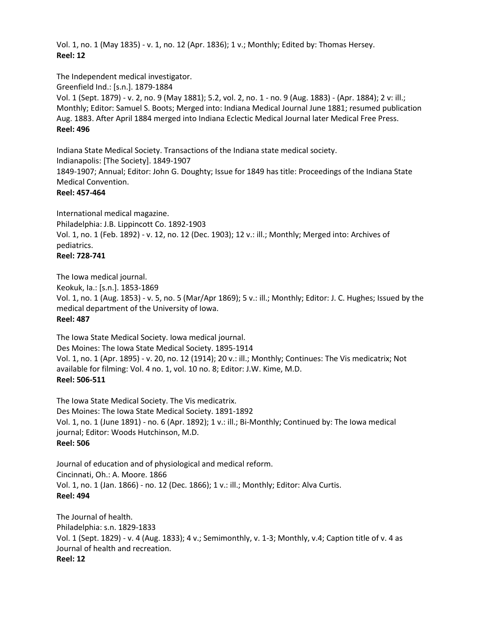Vol. 1, no. 1 (May 1835) - v. 1, no. 12 (Apr. 1836); 1 v.; Monthly; Edited by: Thomas Hersey. **Reel: 12**

The Independent medical investigator.

Greenfield Ind.: [s.n.]. 1879-1884 Vol. 1 (Sept. 1879) - v. 2, no. 9 (May 1881); 5.2, vol. 2, no. 1 - no. 9 (Aug. 1883) - (Apr. 1884); 2 v: ill.; Monthly; Editor: Samuel S. Boots; Merged into: Indiana Medical Journal June 1881; resumed publication Aug. 1883. After April 1884 merged into Indiana Eclectic Medical Journal later Medical Free Press. **Reel: 496**

Indiana State Medical Society. Transactions of the Indiana state medical society. Indianapolis: [The Society]. 1849-1907 1849-1907; Annual; Editor: John G. Doughty; Issue for 1849 has title: Proceedings of the Indiana State Medical Convention.

**Reel: 457-464**

International medical magazine. Philadelphia: J.B. Lippincott Co. 1892-1903 Vol. 1, no. 1 (Feb. 1892) - v. 12, no. 12 (Dec. 1903); 12 v.: ill.; Monthly; Merged into: Archives of pediatrics. **Reel: 728-741**

The Iowa medical journal. Keokuk, Ia.: [s.n.]. 1853-1869 Vol. 1, no. 1 (Aug. 1853) - v. 5, no. 5 (Mar/Apr 1869); 5 v.: ill.; Monthly; Editor: J. C. Hughes; Issued by the medical department of the University of Iowa. **Reel: 487**

The Iowa State Medical Society. Iowa medical journal. Des Moines: The Iowa State Medical Society. 1895-1914 Vol. 1, no. 1 (Apr. 1895) - v. 20, no. 12 (1914); 20 v.: ill.; Monthly; Continues: The Vis medicatrix; Not available for filming: Vol. 4 no. 1, vol. 10 no. 8; Editor: J.W. Kime, M.D. **Reel: 506-511**

The Iowa State Medical Society. The Vis medicatrix. Des Moines: The Iowa State Medical Society. 1891-1892 Vol. 1, no. 1 (June 1891) - no. 6 (Apr. 1892); 1 v.: ill.; Bi-Monthly; Continued by: The Iowa medical journal; Editor: Woods Hutchinson, M.D. **Reel: 506**

Journal of education and of physiological and medical reform. Cincinnati, Oh.: A. Moore. 1866 Vol. 1, no. 1 (Jan. 1866) - no. 12 (Dec. 1866); 1 v.: ill.; Monthly; Editor: Alva Curtis. **Reel: 494**

The Journal of health. Philadelphia: s.n. 1829-1833 Vol. 1 (Sept. 1829) - v. 4 (Aug. 1833); 4 v.; Semimonthly, v. 1-3; Monthly, v.4; Caption title of v. 4 as Journal of health and recreation. **Reel: 12**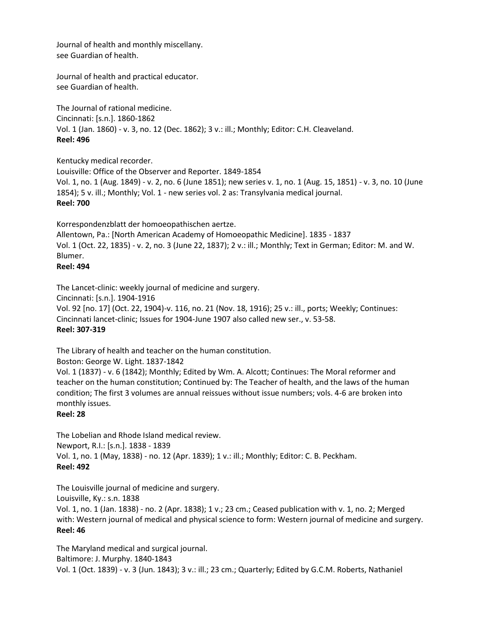Journal of health and monthly miscellany. see Guardian of health.

Journal of health and practical educator. see Guardian of health.

The Journal of rational medicine. Cincinnati: [s.n.]. 1860-1862 Vol. 1 (Jan. 1860) - v. 3, no. 12 (Dec. 1862); 3 v.: ill.; Monthly; Editor: C.H. Cleaveland. **Reel: 496**

Kentucky medical recorder.

Louisville: Office of the Observer and Reporter. 1849-1854 Vol. 1, no. 1 (Aug. 1849) - v. 2, no. 6 (June 1851); new series v. 1, no. 1 (Aug. 15, 1851) - v. 3, no. 10 (June 1854); 5 v. ill.; Monthly; Vol. 1 - new series vol. 2 as: Transylvania medical journal. **Reel: 700**

Korrespondenzblatt der homoeopathischen aertze.

Allentown, Pa.: [North American Academy of Homoeopathic Medicine]. 1835 - 1837 Vol. 1 (Oct. 22, 1835) - v. 2, no. 3 (June 22, 1837); 2 v.: ill.; Monthly; Text in German; Editor: M. and W. Blumer.

## **Reel: 494**

The Lancet-clinic: weekly journal of medicine and surgery.

Cincinnati: [s.n.]. 1904-1916

Vol. 92 [no. 17] (Oct. 22, 1904)-v. 116, no. 21 (Nov. 18, 1916); 25 v.: ill., ports; Weekly; Continues: Cincinnati lancet-clinic; Issues for 1904-June 1907 also called new ser., v. 53-58. **Reel: 307-319**

The Library of health and teacher on the human constitution.

Boston: George W. Light. 1837-1842

Vol. 1 (1837) - v. 6 (1842); Monthly; Edited by Wm. A. Alcott; Continues: The Moral reformer and teacher on the human constitution; Continued by: The Teacher of health, and the laws of the human condition; The first 3 volumes are annual reissues without issue numbers; vols. 4-6 are broken into monthly issues.

## **Reel: 28**

The Lobelian and Rhode Island medical review. Newport, R.I.: [s.n.]. 1838 - 1839 Vol. 1, no. 1 (May, 1838) - no. 12 (Apr. 1839); 1 v.: ill.; Monthly; Editor: C. B. Peckham. **Reel: 492**

The Louisville journal of medicine and surgery.

Louisville, Ky.: s.n. 1838

Vol. 1, no. 1 (Jan. 1838) - no. 2 (Apr. 1838); 1 v.; 23 cm.; Ceased publication with v. 1, no. 2; Merged with: Western journal of medical and physical science to form: Western journal of medicine and surgery. **Reel: 46**

The Maryland medical and surgical journal. Baltimore: J. Murphy. 1840-1843 Vol. 1 (Oct. 1839) - v. 3 (Jun. 1843); 3 v.: ill.; 23 cm.; Quarterly; Edited by G.C.M. Roberts, Nathaniel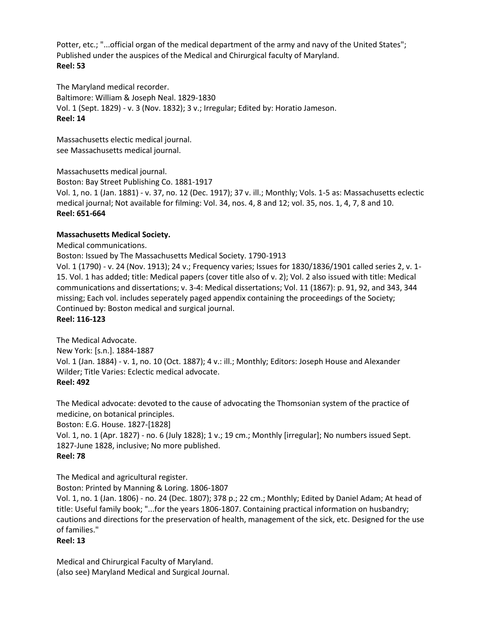Potter, etc.; "...official organ of the medical department of the army and navy of the United States"; Published under the auspices of the Medical and Chirurgical faculty of Maryland. **Reel: 53**

The Maryland medical recorder. Baltimore: William & Joseph Neal. 1829-1830 Vol. 1 (Sept. 1829) - v. 3 (Nov. 1832); 3 v.; Irregular; Edited by: Horatio Jameson. **Reel: 14**

Massachusetts electic medical journal. see Massachusetts medical journal.

Massachusetts medical journal.

Boston: Bay Street Publishing Co. 1881-1917

Vol. 1, no. 1 (Jan. 1881) - v. 37, no. 12 (Dec. 1917); 37 v. ill.; Monthly; Vols. 1-5 as: Massachusetts eclectic medical journal; Not available for filming: Vol. 34, nos. 4, 8 and 12; vol. 35, nos. 1, 4, 7, 8 and 10. **Reel: 651-664**

## **Massachusetts Medical Society.**

Medical communications.

Boston: Issued by The Massachusetts Medical Society. 1790-1913

Vol. 1 (1790) - v. 24 (Nov. 1913); 24 v.; Frequency varies; Issues for 1830/1836/1901 called series 2, v. 1- 15. Vol. 1 has added; title: Medical papers (cover title also of v. 2); Vol. 2 also issued with title: Medical communications and dissertations; v. 3-4: Medical dissertations; Vol. 11 (1867): p. 91, 92, and 343, 344 missing; Each vol. includes seperately paged appendix containing the proceedings of the Society; Continued by: Boston medical and surgical journal.

**Reel: 116-123**

The Medical Advocate. New York: [s.n.]. 1884-1887 Vol. 1 (Jan. 1884) - v. 1, no. 10 (Oct. 1887); 4 v.: ill.; Monthly; Editors: Joseph House and Alexander Wilder; Title Varies: Eclectic medical advocate. **Reel: 492**

The Medical advocate: devoted to the cause of advocating the Thomsonian system of the practice of medicine, on botanical principles.

Boston: E.G. House. 1827-[1828]

Vol. 1, no. 1 (Apr. 1827) - no. 6 (July 1828); 1 v.; 19 cm.; Monthly [irregular]; No numbers issued Sept. 1827-June 1828, inclusive; No more published.

# **Reel: 78**

The Medical and agricultural register.

Boston: Printed by Manning & Loring. 1806-1807

Vol. 1, no. 1 (Jan. 1806) - no. 24 (Dec. 1807); 378 p.; 22 cm.; Monthly; Edited by Daniel Adam; At head of title: Useful family book; "...for the years 1806-1807. Containing practical information on husbandry; cautions and directions for the preservation of health, management of the sick, etc. Designed for the use of families."

**Reel: 13**

Medical and Chirurgical Faculty of Maryland. (also see) Maryland Medical and Surgical Journal.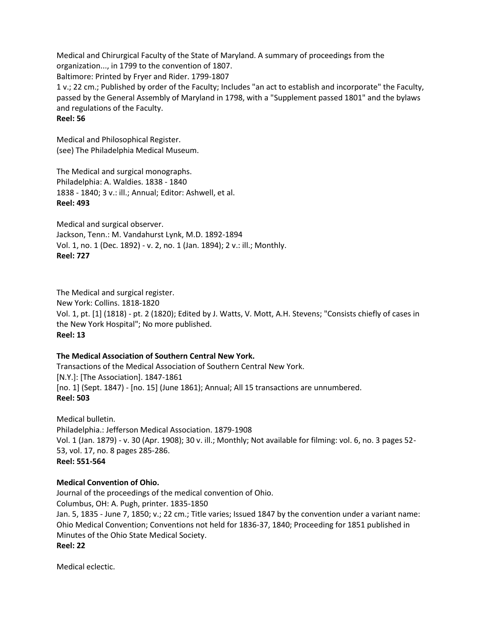Medical and Chirurgical Faculty of the State of Maryland. A summary of proceedings from the organization..., in 1799 to the convention of 1807. Baltimore: Printed by Fryer and Rider. 1799-1807 1 v.; 22 cm.; Published by order of the Faculty; Includes "an act to establish and incorporate" the Faculty, passed by the General Assembly of Maryland in 1798, with a "Supplement passed 1801" and the bylaws and regulations of the Faculty. **Reel: 56**

Medical and Philosophical Register. (see) The Philadelphia Medical Museum.

The Medical and surgical monographs. Philadelphia: A. Waldies. 1838 - 1840 1838 - 1840; 3 v.: ill.; Annual; Editor: Ashwell, et al. **Reel: 493**

Medical and surgical observer. Jackson, Tenn.: M. Vandahurst Lynk, M.D. 1892-1894 Vol. 1, no. 1 (Dec. 1892) - v. 2, no. 1 (Jan. 1894); 2 v.: ill.; Monthly. **Reel: 727**

The Medical and surgical register. New York: Collins. 1818-1820 Vol. 1, pt. [1] (1818) - pt. 2 (1820); Edited by J. Watts, V. Mott, A.H. Stevens; "Consists chiefly of cases in the New York Hospital"; No more published. **Reel: 13**

## **The Medical Association of Southern Central New York.**

Transactions of the Medical Association of Southern Central New York. [N.Y.]: [The Association]. 1847-1861 [no. 1] (Sept. 1847) - [no. 15] (June 1861); Annual; All 15 transactions are unnumbered. **Reel: 503**

Medical bulletin. Philadelphia.: Jefferson Medical Association. 1879-1908 Vol. 1 (Jan. 1879) - v. 30 (Apr. 1908); 30 v. ill.; Monthly; Not available for filming: vol. 6, no. 3 pages 52- 53, vol. 17, no. 8 pages 285-286. **Reel: 551-564**

## **Medical Convention of Ohio.**

Journal of the proceedings of the medical convention of Ohio. Columbus, OH: A. Pugh, printer. 1835-1850 Jan. 5, 1835 - June 7, 1850; v.; 22 cm.; Title varies; Issued 1847 by the convention under a variant name: Ohio Medical Convention; Conventions not held for 1836-37, 1840; Proceeding for 1851 published in Minutes of the Ohio State Medical Society. **Reel: 22**

Medical eclectic.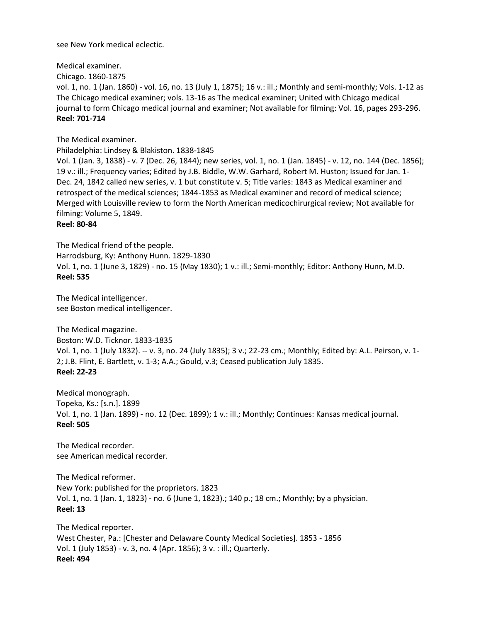see New York medical eclectic.

Medical examiner. Chicago. 1860-1875 vol. 1, no. 1 (Jan. 1860) - vol. 16, no. 13 (July 1, 1875); 16 v.: ill.; Monthly and semi-monthly; Vols. 1-12 as The Chicago medical examiner; vols. 13-16 as The medical examiner; United with Chicago medical journal to form Chicago medical journal and examiner; Not available for filming: Vol. 16, pages 293-296. **Reel: 701-714**

The Medical examiner.

Philadelphia: Lindsey & Blakiston. 1838-1845

Vol. 1 (Jan. 3, 1838) - v. 7 (Dec. 26, 1844); new series, vol. 1, no. 1 (Jan. 1845) - v. 12, no. 144 (Dec. 1856); 19 v.: ill.; Frequency varies; Edited by J.B. Biddle, W.W. Garhard, Robert M. Huston; Issued for Jan. 1- Dec. 24, 1842 called new series, v. 1 but constitute v. 5; Title varies: 1843 as Medical examiner and retrospect of the medical sciences; 1844-1853 as Medical examiner and record of medical science; Merged with Louisville review to form the North American medicochirurgical review; Not available for filming: Volume 5, 1849.

**Reel: 80-84**

The Medical friend of the people. Harrodsburg, Ky: Anthony Hunn. 1829-1830 Vol. 1, no. 1 (June 3, 1829) - no. 15 (May 1830); 1 v.: ill.; Semi-monthly; Editor: Anthony Hunn, M.D. **Reel: 535**

The Medical intelligencer. see Boston medical intelligencer.

The Medical magazine. Boston: W.D. Ticknor. 1833-1835 Vol. 1, no. 1 (July 1832). -- v. 3, no. 24 (July 1835); 3 v.; 22-23 cm.; Monthly; Edited by: A.L. Peirson, v. 1- 2; J.B. Flint, E. Bartlett, v. 1-3; A.A.; Gould, v.3; Ceased publication July 1835. **Reel: 22-23**

Medical monograph. Topeka, Ks.: [s.n.]. 1899 Vol. 1, no. 1 (Jan. 1899) - no. 12 (Dec. 1899); 1 v.: ill.; Monthly; Continues: Kansas medical journal. **Reel: 505**

The Medical recorder. see American medical recorder.

The Medical reformer. New York: published for the proprietors. 1823 Vol. 1, no. 1 (Jan. 1, 1823) - no. 6 (June 1, 1823).; 140 p.; 18 cm.; Monthly; by a physician. **Reel: 13**

The Medical reporter. West Chester, Pa.: [Chester and Delaware County Medical Societies]. 1853 - 1856 Vol. 1 (July 1853) - v. 3, no. 4 (Apr. 1856); 3 v. : ill.; Quarterly. **Reel: 494**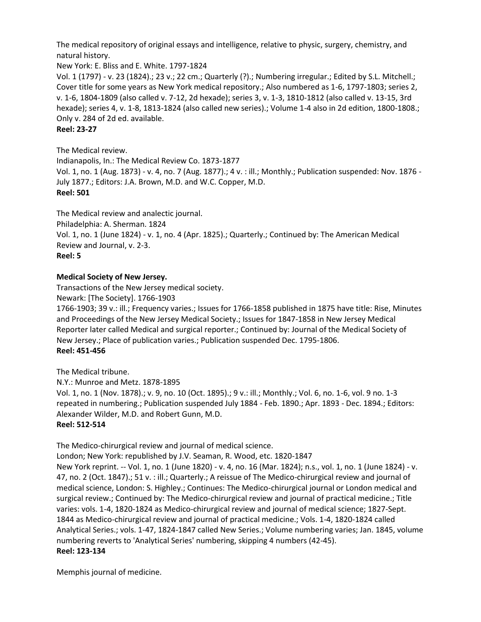The medical repository of original essays and intelligence, relative to physic, surgery, chemistry, and natural history.

New York: E. Bliss and E. White. 1797-1824

Vol. 1 (1797) - v. 23 (1824).; 23 v.; 22 cm.; Quarterly (?).; Numbering irregular.; Edited by S.L. Mitchell.; Cover title for some years as New York medical repository.; Also numbered as 1-6, 1797-1803; series 2, v. 1-6, 1804-1809 (also called v. 7-12, 2d hexade); series 3, v. 1-3, 1810-1812 (also called v. 13-15, 3rd hexade); series 4, v. 1-8, 1813-1824 (also called new series).; Volume 1-4 also in 2d edition, 1800-1808.; Only v. 284 of 2d ed. available.

**Reel: 23-27**

The Medical review.

Indianapolis, In.: The Medical Review Co. 1873-1877 Vol. 1, no. 1 (Aug. 1873) - v. 4, no. 7 (Aug. 1877).; 4 v. : ill.; Monthly.; Publication suspended: Nov. 1876 - July 1877.; Editors: J.A. Brown, M.D. and W.C. Copper, M.D. **Reel: 501**

The Medical review and analectic journal.

Philadelphia: A. Sherman. 1824

Vol. 1, no. 1 (June 1824) - v. 1, no. 4 (Apr. 1825).; Quarterly.; Continued by: The American Medical Review and Journal, v. 2-3.

**Reel: 5**

## **Medical Society of New Jersey.**

Transactions of the New Jersey medical society.

Newark: [The Society]. 1766-1903

1766-1903; 39 v.: ill.; Frequency varies.; Issues for 1766-1858 published in 1875 have title: Rise, Minutes and Proceedings of the New Jersey Medical Society.; Issues for 1847-1858 in New Jersey Medical Reporter later called Medical and surgical reporter.; Continued by: Journal of the Medical Society of New Jersey.; Place of publication varies.; Publication suspended Dec. 1795-1806. **Reel: 451-456**

The Medical tribune.

N.Y.: Munroe and Metz. 1878-1895 Vol. 1, no. 1 (Nov. 1878).; v. 9, no. 10 (Oct. 1895).; 9 v.: ill.; Monthly.; Vol. 6, no. 1-6, vol. 9 no. 1-3 repeated in numbering.; Publication suspended July 1884 - Feb. 1890.; Apr. 1893 - Dec. 1894.; Editors: Alexander Wilder, M.D. and Robert Gunn, M.D.

**Reel: 512-514**

The Medico-chirurgical review and journal of medical science.

London; New York: republished by J.V. Seaman, R. Wood, etc. 1820-1847

New York reprint. -- Vol. 1, no. 1 (June 1820) - v. 4, no. 16 (Mar. 1824); n.s., vol. 1, no. 1 (June 1824) - v. 47, no. 2 (Oct. 1847).; 51 v. : ill.; Quarterly.; A reissue of The Medico-chirurgical review and journal of medical science, London: S. Highley.; Continues: The Medico-chirurgical journal or London medical and surgical review.; Continued by: The Medico-chirurgical review and journal of practical medicine.; Title varies: vols. 1-4, 1820-1824 as Medico-chirurgical review and journal of medical science; 1827-Sept. 1844 as Medico-chirurgical review and journal of practical medicine.; Vols. 1-4, 1820-1824 called Analytical Series.; vols. 1-47, 1824-1847 called New Series.; Volume numbering varies; Jan. 1845, volume numbering reverts to 'Analytical Series' numbering, skipping 4 numbers (42-45). **Reel: 123-134**

Memphis journal of medicine.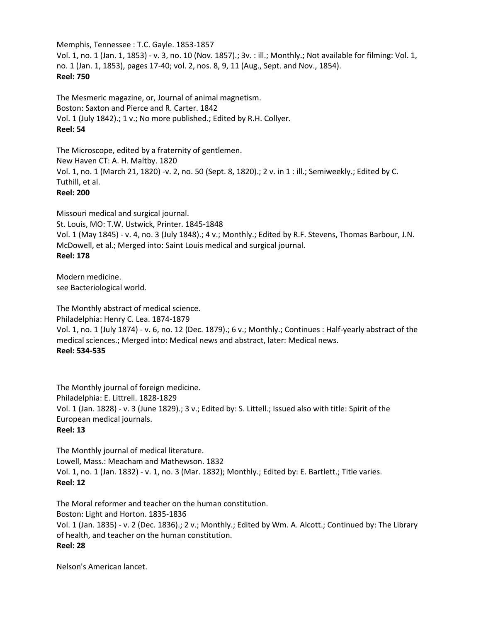Memphis, Tennessee : T.C. Gayle. 1853-1857 Vol. 1, no. 1 (Jan. 1, 1853) - v. 3, no. 10 (Nov. 1857).; 3v. : ill.; Monthly.; Not available for filming: Vol. 1, no. 1 (Jan. 1, 1853), pages 17-40; vol. 2, nos. 8, 9, 11 (Aug., Sept. and Nov., 1854). **Reel: 750**

The Mesmeric magazine, or, Journal of animal magnetism. Boston: Saxton and Pierce and R. Carter. 1842 Vol. 1 (July 1842).; 1 v.; No more published.; Edited by R.H. Collyer. **Reel: 54**

The Microscope, edited by a fraternity of gentlemen. New Haven CT: A. H. Maltby. 1820 Vol. 1, no. 1 (March 21, 1820) -v. 2, no. 50 (Sept. 8, 1820).; 2 v. in 1 : ill.; Semiweekly.; Edited by C. Tuthill, et al. **Reel: 200**

Missouri medical and surgical journal. St. Louis, MO: T.W. Ustwick, Printer. 1845-1848 Vol. 1 (May 1845) - v. 4, no. 3 (July 1848).; 4 v.; Monthly.; Edited by R.F. Stevens, Thomas Barbour, J.N. McDowell, et al.; Merged into: Saint Louis medical and surgical journal. **Reel: 178**

Modern medicine. see Bacteriological world.

The Monthly abstract of medical science. Philadelphia: Henry C. Lea. 1874-1879 Vol. 1, no. 1 (July 1874) - v. 6, no. 12 (Dec. 1879).; 6 v.; Monthly.; Continues : Half-yearly abstract of the medical sciences.; Merged into: Medical news and abstract, later: Medical news. **Reel: 534-535**

The Monthly journal of foreign medicine. Philadelphia: E. Littrell. 1828-1829 Vol. 1 (Jan. 1828) - v. 3 (June 1829).; 3 v.; Edited by: S. Littell.; Issued also with title: Spirit of the European medical journals. **Reel: 13**

The Monthly journal of medical literature. Lowell, Mass.: Meacham and Mathewson. 1832 Vol. 1, no. 1 (Jan. 1832) - v. 1, no. 3 (Mar. 1832); Monthly.; Edited by: E. Bartlett.; Title varies. **Reel: 12**

The Moral reformer and teacher on the human constitution. Boston: Light and Horton. 1835-1836 Vol. 1 (Jan. 1835) - v. 2 (Dec. 1836).; 2 v.; Monthly.; Edited by Wm. A. Alcott.; Continued by: The Library of health, and teacher on the human constitution. **Reel: 28**

Nelson's American lancet.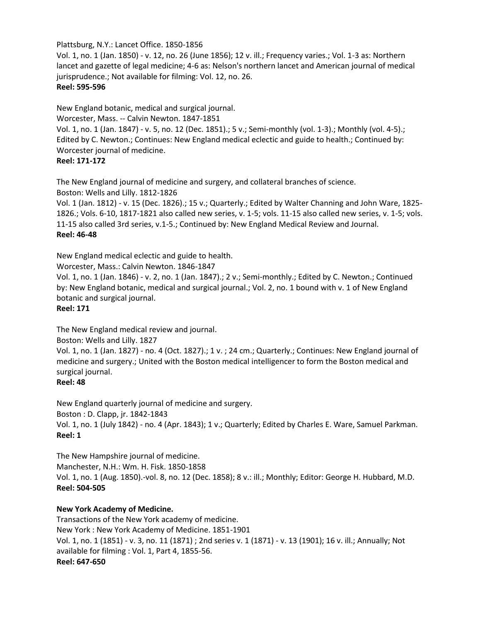#### Plattsburg, N.Y.: Lancet Office. 1850-1856

Vol. 1, no. 1 (Jan. 1850) - v. 12, no. 26 (June 1856); 12 v. ill.; Frequency varies.; Vol. 1-3 as: Northern lancet and gazette of legal medicine; 4-6 as: Nelson's northern lancet and American journal of medical jurisprudence.; Not available for filming: Vol. 12, no. 26. **Reel: 595-596**

New England botanic, medical and surgical journal.

Worcester, Mass. -- Calvin Newton. 1847-1851

Vol. 1, no. 1 (Jan. 1847) - v. 5, no. 12 (Dec. 1851).; 5 v.; Semi-monthly (vol. 1-3).; Monthly (vol. 4-5).; Edited by C. Newton.; Continues: New England medical eclectic and guide to health.; Continued by: Worcester journal of medicine.

# **Reel: 171-172**

The New England journal of medicine and surgery, and collateral branches of science. Boston: Wells and Lilly. 1812-1826

Vol. 1 (Jan. 1812) - v. 15 (Dec. 1826).; 15 v.; Quarterly.; Edited by Walter Channing and John Ware, 1825- 1826.; Vols. 6-10, 1817-1821 also called new series, v. 1-5; vols. 11-15 also called new series, v. 1-5; vols. 11-15 also called 3rd series, v.1-5.; Continued by: New England Medical Review and Journal. **Reel: 46-48**

New England medical eclectic and guide to health.

Worcester, Mass.: Calvin Newton. 1846-1847

Vol. 1, no. 1 (Jan. 1846) - v. 2, no. 1 (Jan. 1847).; 2 v.; Semi-monthly.; Edited by C. Newton.; Continued by: New England botanic, medical and surgical journal.; Vol. 2, no. 1 bound with v. 1 of New England botanic and surgical journal.

# **Reel: 171**

The New England medical review and journal.

Boston: Wells and Lilly. 1827

Vol. 1, no. 1 (Jan. 1827) - no. 4 (Oct. 1827).; 1 v. ; 24 cm.; Quarterly.; Continues: New England journal of medicine and surgery.; United with the Boston medical intelligencer to form the Boston medical and surgical journal.

## **Reel: 48**

New England quarterly journal of medicine and surgery. Boston : D. Clapp, jr. 1842-1843 Vol. 1, no. 1 (July 1842) - no. 4 (Apr. 1843); 1 v.; Quarterly; Edited by Charles E. Ware, Samuel Parkman. **Reel: 1**

The New Hampshire journal of medicine. Manchester, N.H.: Wm. H. Fisk. 1850-1858 Vol. 1, no. 1 (Aug. 1850).-vol. 8, no. 12 (Dec. 1858); 8 v.: ill.; Monthly; Editor: George H. Hubbard, M.D. **Reel: 504-505**

# **New York Academy of Medicine.**

Transactions of the New York academy of medicine. New York : New York Academy of Medicine. 1851-1901 Vol. 1, no. 1 (1851) - v. 3, no. 11 (1871) ; 2nd series v. 1 (1871) - v. 13 (1901); 16 v. ill.; Annually; Not available for filming : Vol. 1, Part 4, 1855-56. **Reel: 647-650**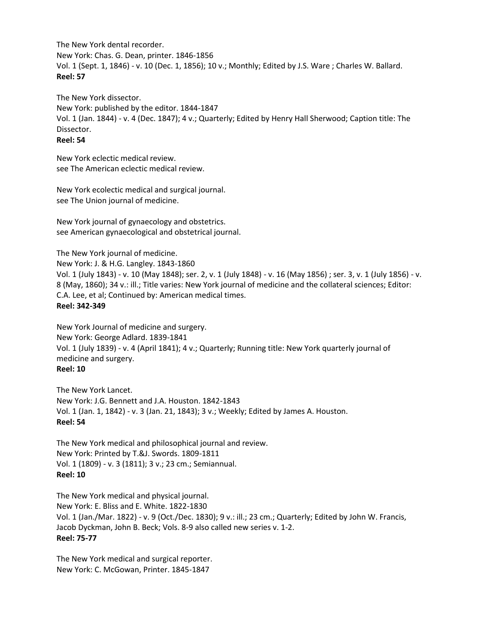The New York dental recorder. New York: Chas. G. Dean, printer. 1846-1856 Vol. 1 (Sept. 1, 1846) - v. 10 (Dec. 1, 1856); 10 v.; Monthly; Edited by J.S. Ware ; Charles W. Ballard. **Reel: 57**

The New York dissector. New York: published by the editor. 1844-1847 Vol. 1 (Jan. 1844) - v. 4 (Dec. 1847); 4 v.; Quarterly; Edited by Henry Hall Sherwood; Caption title: The Dissector. **Reel: 54**

New York eclectic medical review. see The American eclectic medical review.

New York ecolectic medical and surgical journal. see The Union journal of medicine.

New York journal of gynaecology and obstetrics. see American gynaecological and obstetrical journal.

The New York journal of medicine.

New York: J. & H.G. Langley. 1843-1860

Vol. 1 (July 1843) - v. 10 (May 1848); ser. 2, v. 1 (July 1848) - v. 16 (May 1856) ; ser. 3, v. 1 (July 1856) - v. 8 (May, 1860); 34 v.: ill.; Title varies: New York journal of medicine and the collateral sciences; Editor: C.A. Lee, et al; Continued by: American medical times. **Reel: 342-349**

New York Journal of medicine and surgery. New York: George Adlard. 1839-1841 Vol. 1 (July 1839) - v. 4 (April 1841); 4 v.; Quarterly; Running title: New York quarterly journal of medicine and surgery. **Reel: 10**

The New York Lancet. New York: J.G. Bennett and J.A. Houston. 1842-1843 Vol. 1 (Jan. 1, 1842) - v. 3 (Jan. 21, 1843); 3 v.; Weekly; Edited by James A. Houston. **Reel: 54**

The New York medical and philosophical journal and review. New York: Printed by T.&J. Swords. 1809-1811 Vol. 1 (1809) - v. 3 (1811); 3 v.; 23 cm.; Semiannual. **Reel: 10**

The New York medical and physical journal. New York: E. Bliss and E. White. 1822-1830 Vol. 1 (Jan./Mar. 1822) - v. 9 (Oct./Dec. 1830); 9 v.: ill.; 23 cm.; Quarterly; Edited by John W. Francis, Jacob Dyckman, John B. Beck; Vols. 8-9 also called new series v. 1-2. **Reel: 75-77**

The New York medical and surgical reporter. New York: C. McGowan, Printer. 1845-1847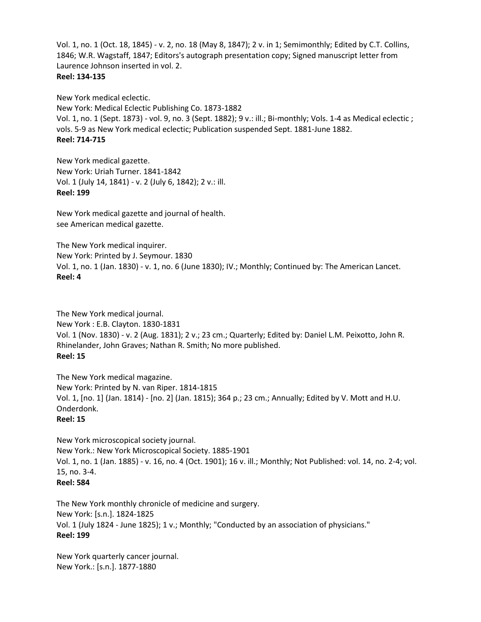Vol. 1, no. 1 (Oct. 18, 1845) - v. 2, no. 18 (May 8, 1847); 2 v. in 1; Semimonthly; Edited by C.T. Collins, 1846; W.R. Wagstaff, 1847; Editors's autograph presentation copy; Signed manuscript letter from Laurence Johnson inserted in vol. 2. **Reel: 134-135**

New York medical eclectic. New York: Medical Eclectic Publishing Co. 1873-1882 Vol. 1, no. 1 (Sept. 1873) - vol. 9, no. 3 (Sept. 1882); 9 v.: ill.; Bi-monthly; Vols. 1-4 as Medical eclectic ; vols. 5-9 as New York medical eclectic; Publication suspended Sept. 1881-June 1882. **Reel: 714-715**

New York medical gazette. New York: Uriah Turner. 1841-1842 Vol. 1 (July 14, 1841) - v. 2 (July 6, 1842); 2 v.: ill. **Reel: 199**

New York medical gazette and journal of health. see American medical gazette.

The New York medical inquirer. New York: Printed by J. Seymour. 1830 Vol. 1, no. 1 (Jan. 1830) - v. 1, no. 6 (June 1830); IV.; Monthly; Continued by: The American Lancet. **Reel: 4**

The New York medical journal. New York : E.B. Clayton. 1830-1831 Vol. 1 (Nov. 1830) - v. 2 (Aug. 1831); 2 v.; 23 cm.; Quarterly; Edited by: Daniel L.M. Peixotto, John R. Rhinelander, John Graves; Nathan R. Smith; No more published. **Reel: 15**

The New York medical magazine. New York: Printed by N. van Riper. 1814-1815 Vol. 1, [no. 1] (Jan. 1814) - [no. 2] (Jan. 1815); 364 p.; 23 cm.; Annually; Edited by V. Mott and H.U. Onderdonk. **Reel: 15**

New York microscopical society journal. New York.: New York Microscopical Society. 1885-1901 Vol. 1, no. 1 (Jan. 1885) - v. 16, no. 4 (Oct. 1901); 16 v. ill.; Monthly; Not Published: vol. 14, no. 2-4; vol. 15, no. 3-4. **Reel: 584**

The New York monthly chronicle of medicine and surgery. New York: [s.n.]. 1824-1825 Vol. 1 (July 1824 - June 1825); 1 v.; Monthly; "Conducted by an association of physicians." **Reel: 199**

New York quarterly cancer journal. New York.: [s.n.]. 1877-1880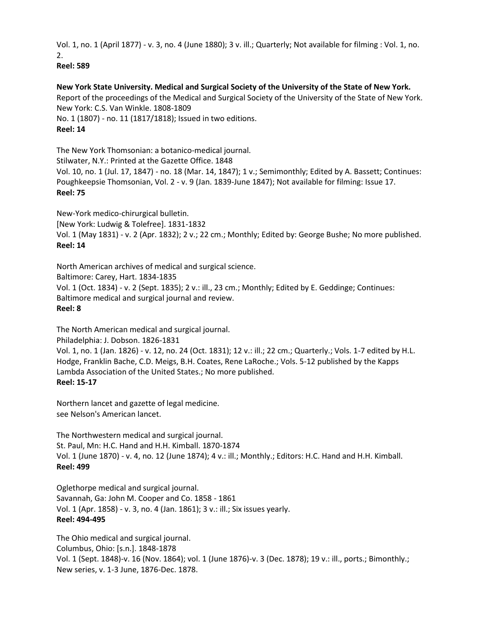Vol. 1, no. 1 (April 1877) - v. 3, no. 4 (June 1880); 3 v. ill.; Quarterly; Not available for filming : Vol. 1, no. 2.

**Reel: 589**

## **New York State University. Medical and Surgical Society of the University of the State of New York.**

Report of the proceedings of the Medical and Surgical Society of the University of the State of New York. New York: C.S. Van Winkle. 1808-1809 No. 1 (1807) - no. 11 (1817/1818); Issued in two editions.

**Reel: 14**

The New York Thomsonian: a botanico-medical journal. Stilwater, N.Y.: Printed at the Gazette Office. 1848 Vol. 10, no. 1 (Jul. 17, 1847) - no. 18 (Mar. 14, 1847); 1 v.; Semimonthly; Edited by A. Bassett; Continues: Poughkeepsie Thomsonian, Vol. 2 - v. 9 (Jan. 1839-June 1847); Not available for filming: Issue 17. **Reel: 75**

New-York medico-chirurgical bulletin.

[New York: Ludwig & Tolefree]. 1831-1832

Vol. 1 (May 1831) - v. 2 (Apr. 1832); 2 v.; 22 cm.; Monthly; Edited by: George Bushe; No more published. **Reel: 14**

North American archives of medical and surgical science.

Baltimore: Carey, Hart. 1834-1835

Vol. 1 (Oct. 1834) - v. 2 (Sept. 1835); 2 v.: ill., 23 cm.; Monthly; Edited by E. Geddinge; Continues: Baltimore medical and surgical journal and review.

**Reel: 8**

The North American medical and surgical journal.

Philadelphia: J. Dobson. 1826-1831

Vol. 1, no. 1 (Jan. 1826) - v. 12, no. 24 (Oct. 1831); 12 v.: ill.; 22 cm.; Quarterly.; Vols. 1-7 edited by H.L. Hodge, Franklin Bache, C.D. Meigs, B.H. Coates, Rene LaRoche.; Vols. 5-12 published by the Kapps Lambda Association of the United States.; No more published. **Reel: 15-17**

Northern lancet and gazette of legal medicine. see Nelson's American lancet.

The Northwestern medical and surgical journal. St. Paul, Mn: H.C. Hand and H.H. Kimball. 1870-1874 Vol. 1 (June 1870) - v. 4, no. 12 (June 1874); 4 v.: ill.; Monthly.; Editors: H.C. Hand and H.H. Kimball. **Reel: 499**

Oglethorpe medical and surgical journal. Savannah, Ga: John M. Cooper and Co. 1858 - 1861 Vol. 1 (Apr. 1858) - v. 3, no. 4 (Jan. 1861); 3 v.: ill.; Six issues yearly. **Reel: 494-495**

The Ohio medical and surgical journal. Columbus, Ohio: [s.n.]. 1848-1878 Vol. 1 (Sept. 1848)-v. 16 (Nov. 1864); vol. 1 (June 1876)-v. 3 (Dec. 1878); 19 v.: ill., ports.; Bimonthly.; New series, v. 1-3 June, 1876-Dec. 1878.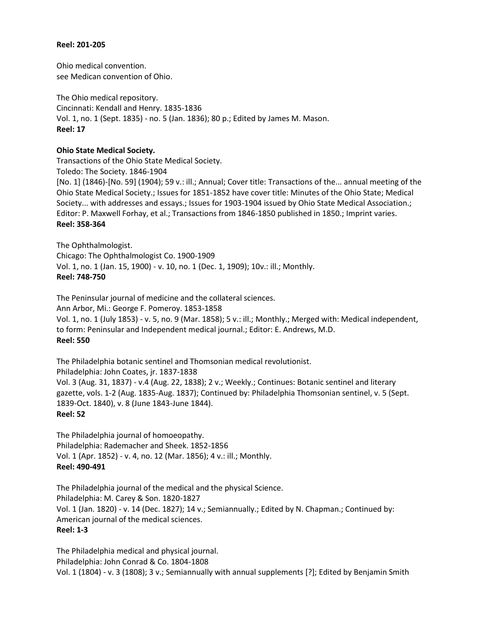#### **Reel: 201-205**

Ohio medical convention. see Medican convention of Ohio.

The Ohio medical repository. Cincinnati: Kendall and Henry. 1835-1836 Vol. 1, no. 1 (Sept. 1835) - no. 5 (Jan. 1836); 80 p.; Edited by James M. Mason. **Reel: 17**

## **Ohio State Medical Society.**

Transactions of the Ohio State Medical Society. Toledo: The Society. 1846-1904 [No. 1] (1846)-[No. 59] (1904); 59 v.: ill.; Annual; Cover title: Transactions of the... annual meeting of the Ohio State Medical Society.; Issues for 1851-1852 have cover title: Minutes of the Ohio State; Medical Society... with addresses and essays.; Issues for 1903-1904 issued by Ohio State Medical Association.; Editor: P. Maxwell Forhay, et al.; Transactions from 1846-1850 published in 1850.; Imprint varies. **Reel: 358-364**

The Ophthalmologist. Chicago: The Ophthalmologist Co. 1900-1909 Vol. 1, no. 1 (Jan. 15, 1900) - v. 10, no. 1 (Dec. 1, 1909); 10v.: ill.; Monthly. **Reel: 748-750**

The Peninsular journal of medicine and the collateral sciences. Ann Arbor, Mi.: George F. Pomeroy. 1853-1858 Vol. 1, no. 1 (July 1853) - v. 5, no. 9 (Mar. 1858); 5 v.: ill.; Monthly.; Merged with: Medical independent, to form: Peninsular and Independent medical journal.; Editor: E. Andrews, M.D. **Reel: 550**

The Philadelphia botanic sentinel and Thomsonian medical revolutionist. Philadelphia: John Coates, jr. 1837-1838 Vol. 3 (Aug. 31, 1837) - v.4 (Aug. 22, 1838); 2 v.; Weekly.; Continues: Botanic sentinel and literary gazette, vols. 1-2 (Aug. 1835-Aug. 1837); Continued by: Philadelphia Thomsonian sentinel, v. 5 (Sept. 1839-Oct. 1840), v. 8 (June 1843-June 1844). **Reel: 52**

The Philadelphia journal of homoeopathy. Philadelphia: Rademacher and Sheek. 1852-1856 Vol. 1 (Apr. 1852) - v. 4, no. 12 (Mar. 1856); 4 v.: ill.; Monthly. **Reel: 490-491**

The Philadelphia journal of the medical and the physical Science. Philadelphia: M. Carey & Son. 1820-1827 Vol. 1 (Jan. 1820) - v. 14 (Dec. 1827); 14 v.; Semiannually.; Edited by N. Chapman.; Continued by: American journal of the medical sciences. **Reel: 1-3**

The Philadelphia medical and physical journal. Philadelphia: John Conrad & Co. 1804-1808 Vol. 1 (1804) - v. 3 (1808); 3 v.; Semiannually with annual supplements [?]; Edited by Benjamin Smith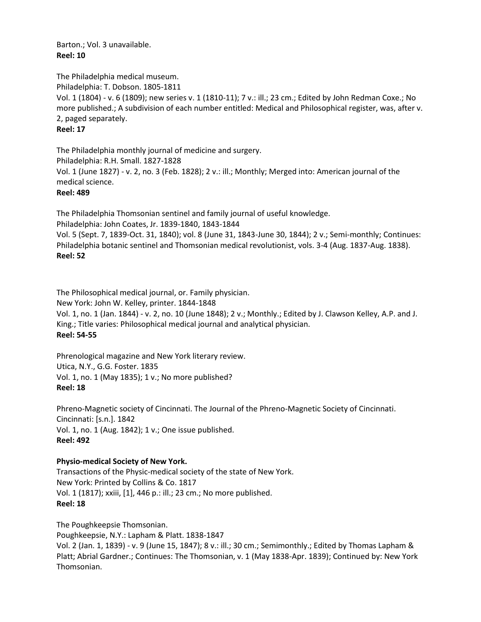Barton.; Vol. 3 unavailable. **Reel: 10**

The Philadelphia medical museum. Philadelphia: T. Dobson. 1805-1811 Vol. 1 (1804) - v. 6 (1809); new series v. 1 (1810-11); 7 v.: ill.; 23 cm.; Edited by John Redman Coxe.; No more published.; A subdivision of each number entitled: Medical and Philosophical register, was, after v. 2, paged separately. **Reel: 17**

The Philadelphia monthly journal of medicine and surgery. Philadelphia: R.H. Small. 1827-1828 Vol. 1 (June 1827) - v. 2, no. 3 (Feb. 1828); 2 v.: ill.; Monthly; Merged into: American journal of the medical science. **Reel: 489**

The Philadelphia Thomsonian sentinel and family journal of useful knowledge. Philadelphia: John Coates, Jr. 1839-1840, 1843-1844 Vol. 5 (Sept. 7, 1839-Oct. 31, 1840); vol. 8 (June 31, 1843-June 30, 1844); 2 v.; Semi-monthly; Continues: Philadelphia botanic sentinel and Thomsonian medical revolutionist, vols. 3-4 (Aug. 1837-Aug. 1838). **Reel: 52**

The Philosophical medical journal, or. Family physician. New York: John W. Kelley, printer. 1844-1848 Vol. 1, no. 1 (Jan. 1844) - v. 2, no. 10 (June 1848); 2 v.; Monthly.; Edited by J. Clawson Kelley, A.P. and J. King.; Title varies: Philosophical medical journal and analytical physician. **Reel: 54-55**

Phrenological magazine and New York literary review. Utica, N.Y., G.G. Foster. 1835 Vol. 1, no. 1 (May 1835); 1 v.; No more published? **Reel: 18**

Phreno-Magnetic society of Cincinnati. The Journal of the Phreno-Magnetic Society of Cincinnati. Cincinnati: [s.n.]. 1842 Vol. 1, no. 1 (Aug. 1842); 1 v.; One issue published. **Reel: 492**

## **Physio-medical Society of New York.**

Transactions of the Physic-medical society of the state of New York. New York: Printed by Collins & Co. 1817 Vol. 1 (1817); xxiii, [1], 446 p.: ill.; 23 cm.; No more published. **Reel: 18**

The Poughkeepsie Thomsonian. Poughkeepsie, N.Y.: Lapham & Platt. 1838-1847 Vol. 2 (Jan. 1, 1839) - v. 9 (June 15, 1847); 8 v.: ill.; 30 cm.; Semimonthly.; Edited by Thomas Lapham & Platt; Abrial Gardner.; Continues: The Thomsonian, v. 1 (May 1838-Apr. 1839); Continued by: New York Thomsonian.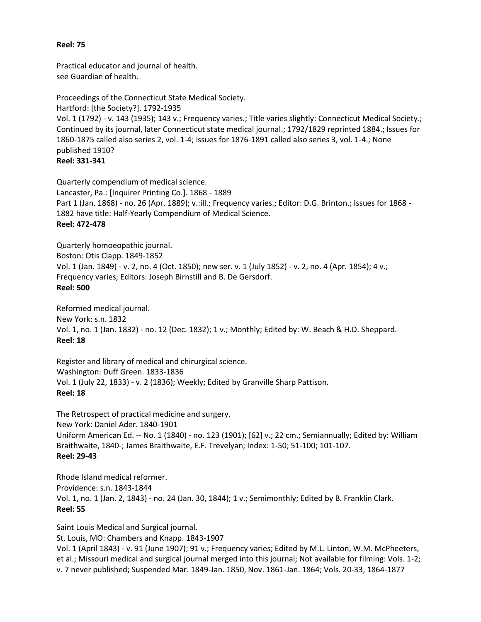#### **Reel: 75**

Practical educator and journal of health. see Guardian of health.

Proceedings of the Connecticut State Medical Society. Hartford: [the Society?]. 1792-1935 Vol. 1 (1792) - v. 143 (1935); 143 v.; Frequency varies.; Title varies slightly: Connecticut Medical Society.; Continued by its journal, later Connecticut state medical journal.; 1792/1829 reprinted 1884.; Issues for 1860-1875 called also series 2, vol. 1-4; issues for 1876-1891 called also series 3, vol. 1-4.; None published 1910? **Reel: 331-341**

Quarterly compendium of medical science. Lancaster, Pa.: [Inquirer Printing Co.]. 1868 - 1889 Part 1 (Jan. 1868) - no. 26 (Apr. 1889); v.:ill.; Frequency varies.; Editor: D.G. Brinton.; Issues for 1868 - 1882 have title: Half-Yearly Compendium of Medical Science. **Reel: 472-478**

Quarterly homoeopathic journal. Boston: Otis Clapp. 1849-1852 Vol. 1 (Jan. 1849) - v. 2, no. 4 (Oct. 1850); new ser. v. 1 (July 1852) - v. 2, no. 4 (Apr. 1854); 4 v.; Frequency varies; Editors: Joseph Birnstill and B. De Gersdorf. **Reel: 500**

Reformed medical journal. New York: s.n. 1832 Vol. 1, no. 1 (Jan. 1832) - no. 12 (Dec. 1832); 1 v.; Monthly; Edited by: W. Beach & H.D. Sheppard. **Reel: 18**

Register and library of medical and chirurgical science. Washington: Duff Green. 1833-1836 Vol. 1 (July 22, 1833) - v. 2 (1836); Weekly; Edited by Granville Sharp Pattison. **Reel: 18**

The Retrospect of practical medicine and surgery. New York: Daniel Ader. 1840-1901 Uniform American Ed. -- No. 1 (1840) - no. 123 (1901); [62] v.; 22 cm.; Semiannually; Edited by: William Braithwaite, 1840-; James Braithwaite, E.F. Trevelyan; Index: 1-50; 51-100; 101-107. **Reel: 29-43**

Rhode Island medical reformer. Providence: s.n. 1843-1844 Vol. 1, no. 1 (Jan. 2, 1843) - no. 24 (Jan. 30, 1844); 1 v.; Semimonthly; Edited by B. Franklin Clark. **Reel: 55**

Saint Louis Medical and Surgical journal. St. Louis, MO: Chambers and Knapp. 1843-1907 Vol. 1 (April 1843) - v. 91 (June 1907); 91 v.; Frequency varies; Edited by M.L. Linton, W.M. McPheeters, et al.; Missouri medical and surgical journal merged into this journal; Not available for filming: Vols. 1-2; v. 7 never published; Suspended Mar. 1849-Jan. 1850, Nov. 1861-Jan. 1864; Vols. 20-33, 1864-1877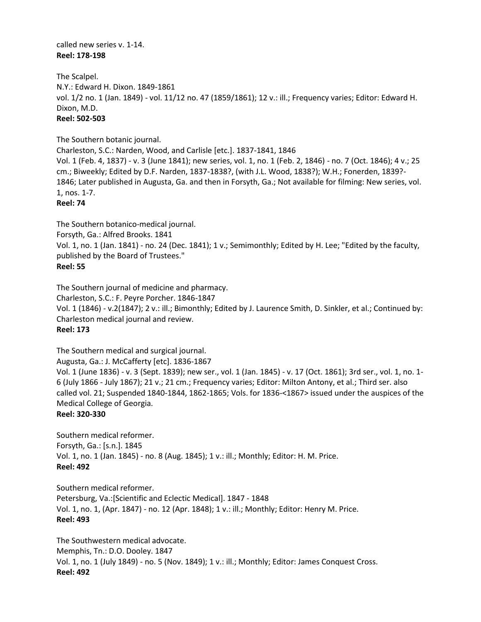called new series v. 1-14. **Reel: 178-198**

The Scalpel. N.Y.: Edward H. Dixon. 1849-1861 vol. 1/2 no. 1 (Jan. 1849) - vol. 11/12 no. 47 (1859/1861); 12 v.: ill.; Frequency varies; Editor: Edward H. Dixon, M.D. **Reel: 502-503**

The Southern botanic journal.

Charleston, S.C.: Narden, Wood, and Carlisle [etc.]. 1837-1841, 1846 Vol. 1 (Feb. 4, 1837) - v. 3 (June 1841); new series, vol. 1, no. 1 (Feb. 2, 1846) - no. 7 (Oct. 1846); 4 v.; 25 cm.; Biweekly; Edited by D.F. Narden, 1837-1838?, (with J.L. Wood, 1838?); W.H.; Fonerden, 1839?- 1846; Later published in Augusta, Ga. and then in Forsyth, Ga.; Not available for filming: New series, vol. 1, nos. 1-7. **Reel: 74**

The Southern botanico-medical journal. Forsyth, Ga.: Alfred Brooks. 1841 Vol. 1, no. 1 (Jan. 1841) - no. 24 (Dec. 1841); 1 v.; Semimonthly; Edited by H. Lee; "Edited by the faculty, published by the Board of Trustees." **Reel: 55**

The Southern journal of medicine and pharmacy. Charleston, S.C.: F. Peyre Porcher. 1846-1847 Vol. 1 (1846) - v.2(1847); 2 v.: ill.; Bimonthly; Edited by J. Laurence Smith, D. Sinkler, et al.; Continued by: Charleston medical journal and review. **Reel: 173**

The Southern medical and surgical journal. Augusta, Ga.: J. McCafferty [etc]. 1836-1867 Vol. 1 (June 1836) - v. 3 (Sept. 1839); new ser., vol. 1 (Jan. 1845) - v. 17 (Oct. 1861); 3rd ser., vol. 1, no. 1- 6 (July 1866 - July 1867); 21 v.; 21 cm.; Frequency varies; Editor: Milton Antony, et al.; Third ser. also called vol. 21; Suspended 1840-1844, 1862-1865; Vols. for 1836-<1867> issued under the auspices of the Medical College of Georgia. **Reel: 320-330**

Southern medical reformer. Forsyth, Ga.: [s.n.]. 1845 Vol. 1, no. 1 (Jan. 1845) - no. 8 (Aug. 1845); 1 v.: ill.; Monthly; Editor: H. M. Price. **Reel: 492**

Southern medical reformer. Petersburg, Va.:[Scientific and Eclectic Medical]. 1847 - 1848 Vol. 1, no. 1, (Apr. 1847) - no. 12 (Apr. 1848); 1 v.: ill.; Monthly; Editor: Henry M. Price. **Reel: 493**

The Southwestern medical advocate. Memphis, Tn.: D.O. Dooley. 1847 Vol. 1, no. 1 (July 1849) - no. 5 (Nov. 1849); 1 v.: ill.; Monthly; Editor: James Conquest Cross. **Reel: 492**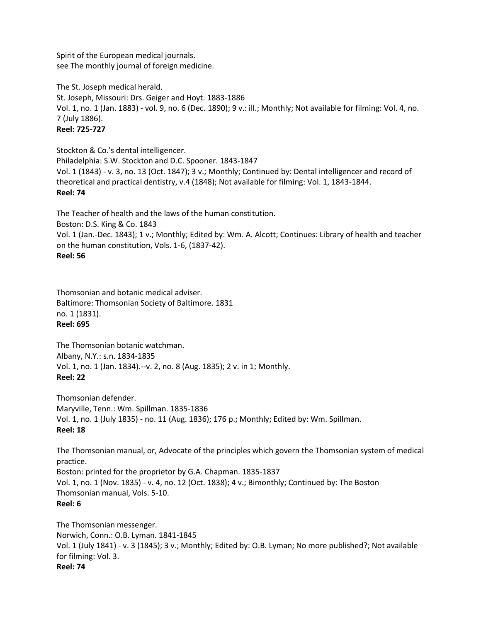Spirit of the European medical journals. see The monthly journal of foreign medicine.

The St. Joseph medical herald. St. Joseph, Missouri: Drs. Geiger and Hoyt. 1883-1886 Vol. 1, no. 1 (Jan. 1883) - vol. 9, no. 6 (Dec. 1890); 9 v.: ill.; Monthly; Not available for filming: Vol. 4, no. 7 (July 1886). **Reel: 725-727**

Stockton & Co.'s dental intelligencer. Philadelphia: S.W. Stockton and D.C. Spooner. 1843-1847 Vol. 1 (1843) - v. 3, no. 13 (Oct. 1847); 3 v.; Monthly; Continued by: Dental intelligencer and record of theoretical and practical dentistry, v.4 (1848); Not available for filming: Vol. 1, 1843-1844. **Reel: 74**

The Teacher of health and the laws of the human constitution. Boston: D.S. King & Co. 1843 Vol. 1 (Jan.-Dec. 1843); 1 v.; Monthly; Edited by: Wm. A. Alcott; Continues: Library of health and teacher on the human constitution, Vols. 1-6, (1837-42). **Reel: 56**

Thomsonian and botanic medical adviser. Baltimore: Thomsonian Society of Baltimore. 1831 no. 1 (1831). **Reel: 695**

The Thomsonian botanic watchman. Albany, N.Y.: s.n. 1834-1835 Vol. 1, no. 1 (Jan. 1834).--v. 2, no. 8 (Aug. 1835); 2 v. in 1; Monthly. **Reel: 22**

Thomsonian defender. Maryville, Tenn.: Wm. Spillman. 1835-1836 Vol. 1, no. 1 (July 1835) - no. 11 (Aug. 1836); 176 p.; Monthly; Edited by: Wm. Spillman. **Reel: 18**

The Thomsonian manual, or, Advocate of the principles which govern the Thomsonian system of medical practice. Boston: printed for the proprietor by G.A. Chapman. 1835-1837 Vol. 1, no. 1 (Nov. 1835) - v. 4, no. 12 (Oct. 1838); 4 v.; Bimonthly; Continued by: The Boston Thomsonian manual, Vols. 5-10. **Reel: 6**

The Thomsonian messenger. Norwich, Conn.: O.B. Lyman. 1841-1845 Vol. 1 (July 1841) - v. 3 (1845); 3 v.; Monthly; Edited by: O.B. Lyman; No more published?; Not available for filming: Vol. 3. **Reel: 74**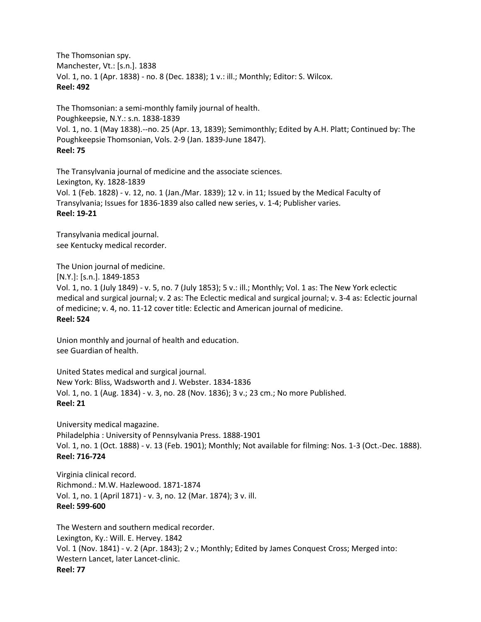The Thomsonian spy. Manchester, Vt.: [s.n.]. 1838 Vol. 1, no. 1 (Apr. 1838) - no. 8 (Dec. 1838); 1 v.: ill.; Monthly; Editor: S. Wilcox. **Reel: 492**

The Thomsonian: a semi-monthly family journal of health. Poughkeepsie, N.Y.: s.n. 1838-1839 Vol. 1, no. 1 (May 1838).--no. 25 (Apr. 13, 1839); Semimonthly; Edited by A.H. Platt; Continued by: The Poughkeepsie Thomsonian, Vols. 2-9 (Jan. 1839-June 1847). **Reel: 75**

The Transylvania journal of medicine and the associate sciences. Lexington, Ky. 1828-1839 Vol. 1 (Feb. 1828) - v. 12, no. 1 (Jan./Mar. 1839); 12 v. in 11; Issued by the Medical Faculty of Transylvania; Issues for 1836-1839 also called new series, v. 1-4; Publisher varies. **Reel: 19-21**

Transylvania medical journal. see Kentucky medical recorder.

The Union journal of medicine. [N.Y.]: [s.n.]. 1849-1853 Vol. 1, no. 1 (July 1849) - v. 5, no. 7 (July 1853); 5 v.: ill.; Monthly; Vol. 1 as: The New York eclectic medical and surgical journal; v. 2 as: The Eclectic medical and surgical journal; v. 3-4 as: Eclectic journal of medicine; v. 4, no. 11-12 cover title: Eclectic and American journal of medicine. **Reel: 524**

Union monthly and journal of health and education. see Guardian of health.

United States medical and surgical journal. New York: Bliss, Wadsworth and J. Webster. 1834-1836 Vol. 1, no. 1 (Aug. 1834) - v. 3, no. 28 (Nov. 1836); 3 v.; 23 cm.; No more Published. **Reel: 21**

University medical magazine. Philadelphia : University of Pennsylvania Press. 1888-1901 Vol. 1, no. 1 (Oct. 1888) - v. 13 (Feb. 1901); Monthly; Not available for filming: Nos. 1-3 (Oct.-Dec. 1888). **Reel: 716-724**

Virginia clinical record. Richmond.: M.W. Hazlewood. 1871-1874 Vol. 1, no. 1 (April 1871) - v. 3, no. 12 (Mar. 1874); 3 v. ill. **Reel: 599-600**

The Western and southern medical recorder. Lexington, Ky.: Will. E. Hervey. 1842 Vol. 1 (Nov. 1841) - v. 2 (Apr. 1843); 2 v.; Monthly; Edited by James Conquest Cross; Merged into: Western Lancet, later Lancet-clinic. **Reel: 77**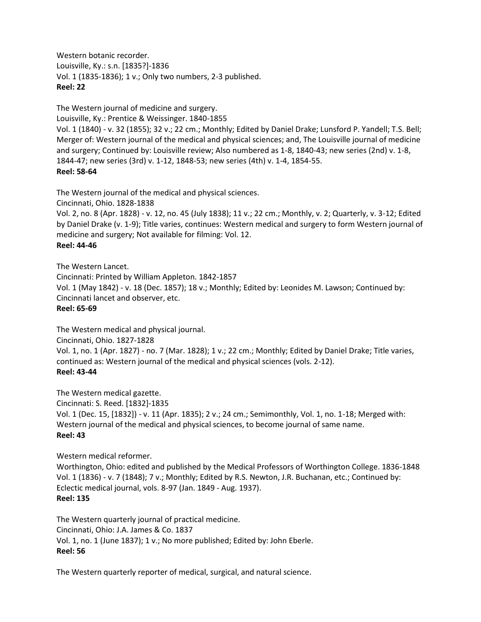Western botanic recorder. Louisville, Ky.: s.n. [1835?]-1836 Vol. 1 (1835-1836); 1 v.; Only two numbers, 2-3 published. **Reel: 22**

The Western journal of medicine and surgery.

Louisville, Ky.: Prentice & Weissinger. 1840-1855

Vol. 1 (1840) - v. 32 (1855); 32 v.; 22 cm.; Monthly; Edited by Daniel Drake; Lunsford P. Yandell; T.S. Bell; Merger of: Western journal of the medical and physical sciences; and, The Louisville journal of medicine and surgery; Continued by: Louisville review; Also numbered as 1-8, 1840-43; new series (2nd) v. 1-8, 1844-47; new series (3rd) v. 1-12, 1848-53; new series (4th) v. 1-4, 1854-55. **Reel: 58-64**

The Western journal of the medical and physical sciences.

Cincinnati, Ohio. 1828-1838

Vol. 2, no. 8 (Apr. 1828) - v. 12, no. 45 (July 1838); 11 v.; 22 cm.; Monthly, v. 2; Quarterly, v. 3-12; Edited by Daniel Drake (v. 1-9); Title varies, continues: Western medical and surgery to form Western journal of medicine and surgery; Not available for filming: Vol. 12.

## **Reel: 44-46**

The Western Lancet.

Cincinnati: Printed by William Appleton. 1842-1857

Vol. 1 (May 1842) - v. 18 (Dec. 1857); 18 v.; Monthly; Edited by: Leonides M. Lawson; Continued by: Cincinnati lancet and observer, etc.

## **Reel: 65-69**

The Western medical and physical journal.

Cincinnati, Ohio. 1827-1828

Vol. 1, no. 1 (Apr. 1827) - no. 7 (Mar. 1828); 1 v.; 22 cm.; Monthly; Edited by Daniel Drake; Title varies, continued as: Western journal of the medical and physical sciences (vols. 2-12). **Reel: 43-44**

The Western medical gazette. Cincinnati: S. Reed. [1832]-1835 Vol. 1 (Dec. 15, [1832]) - v. 11 (Apr. 1835); 2 v.; 24 cm.; Semimonthly, Vol. 1, no. 1-18; Merged with: Western journal of the medical and physical sciences, to become journal of same name. **Reel: 43**

# Western medical reformer.

Worthington, Ohio: edited and published by the Medical Professors of Worthington College. 1836-1848 Vol. 1 (1836) - v. 7 (1848); 7 v.; Monthly; Edited by R.S. Newton, J.R. Buchanan, etc.; Continued by: Eclectic medical journal, vols. 8-97 (Jan. 1849 - Aug. 1937). **Reel: 135**

The Western quarterly journal of practical medicine. Cincinnati, Ohio: J.A. James & Co. 1837 Vol. 1, no. 1 (June 1837); 1 v.; No more published; Edited by: John Eberle. **Reel: 56**

The Western quarterly reporter of medical, surgical, and natural science.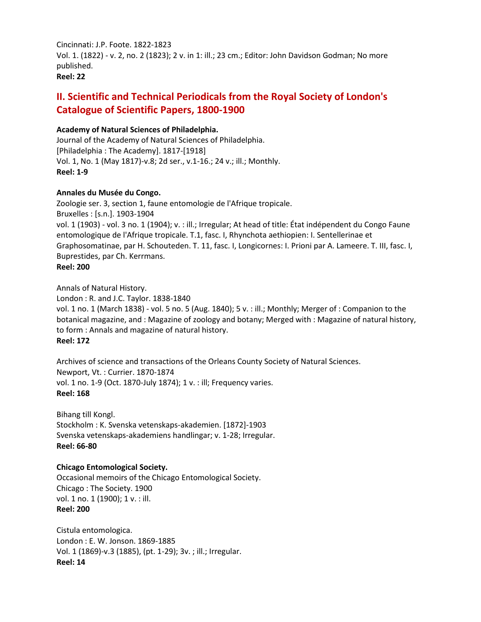Cincinnati: J.P. Foote. 1822-1823 Vol. 1. (1822) - v. 2, no. 2 (1823); 2 v. in 1: ill.; 23 cm.; Editor: John Davidson Godman; No more published. **Reel: 22**

# **II. Scientific and Technical Periodicals from the Royal Society of London's Catalogue of Scientific Papers, 1800-1900**

## **Academy of Natural Sciences of Philadelphia.**

Journal of the Academy of Natural Sciences of Philadelphia. [Philadelphia : The Academy]. 1817-[1918] Vol. 1, No. 1 (May 1817)-v.8; 2d ser., v.1-16.; 24 v.; ill.; Monthly. **Reel: 1-9**

## **Annales du Musée du Congo.**

Zoologie ser. 3, section 1, faune entomologie de l'Afrique tropicale. Bruxelles : [s.n.]. 1903-1904 vol. 1 (1903) - vol. 3 no. 1 (1904); v. : ill.; Irregular; At head of title: État indépendent du Congo Faune entomologique de l'Afrique tropicale. T.1, fasc. I, Rhynchota aethiopien: I. Sentellerinae et Graphosomatinae, par H. Schouteden. T. 11, fasc. I, Longicornes: I. Prioni par A. Lameere. T. III, fasc. I, Buprestides, par Ch. Kerrmans. **Reel: 200**

Annals of Natural History.

London : R. and J.C. Taylor. 1838-1840

vol. 1 no. 1 (March 1838) - vol. 5 no. 5 (Aug. 1840); 5 v. : ill.; Monthly; Merger of : Companion to the botanical magazine, and : Magazine of zoology and botany; Merged with : Magazine of natural history, to form : Annals and magazine of natural history. **Reel: 172**

Archives of science and transactions of the Orleans County Society of Natural Sciences. Newport, Vt. : Currier. 1870-1874 vol. 1 no. 1-9 (Oct. 1870-July 1874); 1 v. : ill; Frequency varies. **Reel: 168**

Bihang till Kongl. Stockholm : K. Svenska vetenskaps-akademien. [1872]-1903 Svenska vetenskaps-akademiens handlingar; v. 1-28; Irregular. **Reel: 66-80**

## **Chicago Entomological Society.**

Occasional memoirs of the Chicago Entomological Society. Chicago : The Society. 1900 vol. 1 no. 1 (1900); 1 v. : ill. **Reel: 200**

Cistula entomologica. London : E. W. Jonson. 1869-1885 Vol. 1 (1869)-v.3 (1885), (pt. 1-29); 3v. ; ill.; Irregular. **Reel: 14**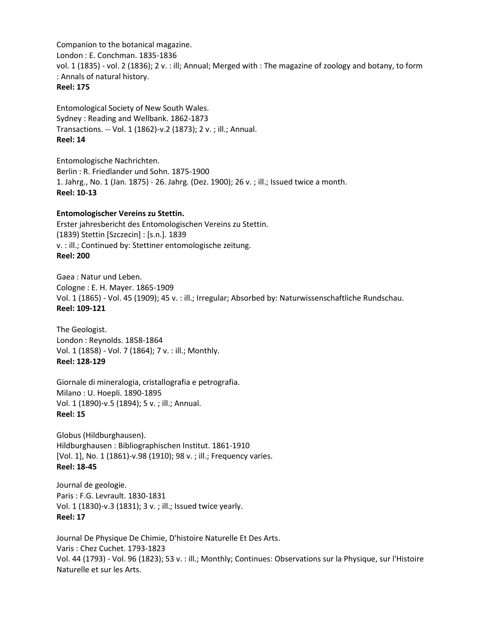Companion to the botanical magazine. London : E. Conchman. 1835-1836 vol. 1 (1835) - vol. 2 (1836); 2 v. : ill; Annual; Merged with : The magazine of zoology and botany, to form : Annals of natural history. **Reel: 175**

Entomological Society of New South Wales. Sydney : Reading and Wellbank. 1862-1873 Transactions. -- Vol. 1 (1862)-v.2 (1873); 2 v. ; ill.; Annual. **Reel: 14**

Entomologische Nachrichten. Berlin : R. Friedlander und Sohn. 1875-1900 1. Jahrg., No. 1 (Jan. 1875) - 26. Jahrg. (Dez. 1900); 26 v. ; ill.; Issued twice a month. **Reel: 10-13**

#### **Entomologischer Vereins zu Stettin.**

Erster jahresbericht des Entomologischen Vereins zu Stettin. (1839) Stettin [Szczecin] : [s.n.]. 1839 v. : ill.; Continued by: Stettiner entomologische zeitung. **Reel: 200**

Gaea : Natur und Leben. Cologne : E. H. Mayer. 1865-1909 Vol. 1 (1865) - Vol. 45 (1909); 45 v. : ill.; Irregular; Absorbed by: Naturwissenschaftliche Rundschau. **Reel: 109-121**

The Geologist. London : Reynolds. 1858-1864 Vol. 1 (1858) - Vol. 7 (1864); 7 v. : ill.; Monthly. **Reel: 128-129**

Giornale di mineralogia, cristallografia e petrografia. Milano : U. Hoepli. 1890-1895 Vol. 1 (1890)-v.5 (1894); 5 v. ; ill.; Annual. **Reel: 15**

Globus (Hildburghausen). Hildburghausen : Bibliographischen Institut. 1861-1910 [Vol. 1], No. 1 (1861)-v.98 (1910); 98 v. ; ill.; Frequency varies. **Reel: 18-45**

Journal de geologie. Paris : F.G. Levrault. 1830-1831 Vol. 1 (1830)-v.3 (1831); 3 v. ; ill.; Issued twice yearly. **Reel: 17**

Journal De Physique De Chimie, D'histoire Naturelle Et Des Arts. Varis : Chez Cuchet. 1793-1823 Vol. 44 (1793) - Vol. 96 (1823); 53 v. : ill.; Monthly; Continues: Observations sur la Physique, sur l'Histoire Naturelle et sur les Arts.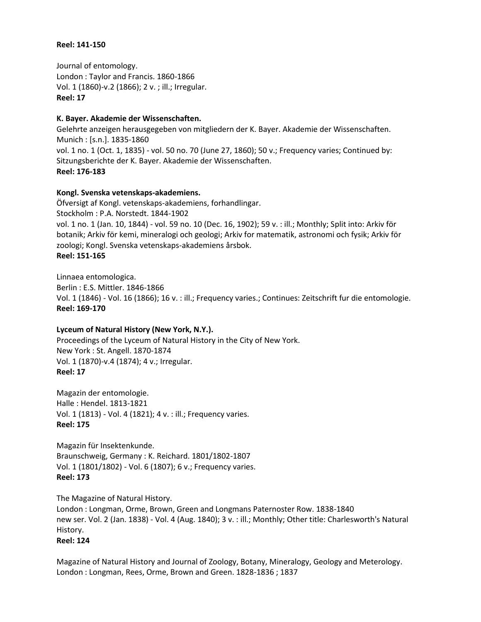#### **Reel: 141-150**

Journal of entomology. London : Taylor and Francis. 1860-1866 Vol. 1 (1860)-v.2 (1866); 2 v. ; ill.; Irregular. **Reel: 17**

## **K. Bayer. Akademie der Wissenschaften.**

Gelehrte anzeigen herausgegeben von mitgliedern der K. Bayer. Akademie der Wissenschaften. Munich : [s.n.]. 1835-1860 vol. 1 no. 1 (Oct. 1, 1835) - vol. 50 no. 70 (June 27, 1860); 50 v.; Frequency varies; Continued by: Sitzungsberichte der K. Bayer. Akademie der Wissenschaften. **Reel: 176-183**

## **Kongl. Svenska vetenskaps-akademiens.**

Öfversigt af Kongl. vetenskaps-akademiens, forhandlingar. Stockholm : P.A. Norstedt. 1844-1902 vol. 1 no. 1 (Jan. 10, 1844) - vol. 59 no. 10 (Dec. 16, 1902); 59 v. : ill.; Monthly; Split into: Arkiv för botanik; Arkiv för kemi, mineralogi och geologi; Arkiv for matematik, astronomi och fysik; Arkiv för zoologi; Kongl. Svenska vetenskaps-akademiens årsbok. **Reel: 151-165**

Linnaea entomologica. Berlin : E.S. Mittler. 1846-1866 Vol. 1 (1846) - Vol. 16 (1866); 16 v. : ill.; Frequency varies.; Continues: Zeitschrift fur die entomologie. **Reel: 169-170**

# **Lyceum of Natural History (New York, N.Y.).**

Proceedings of the Lyceum of Natural History in the City of New York. New York : St. Angell. 1870-1874 Vol. 1 (1870)-v.4 (1874); 4 v.; Irregular. **Reel: 17**

Magazin der entomologie. Halle : Hendel. 1813-1821 Vol. 1 (1813) - Vol. 4 (1821); 4 v. : ill.; Frequency varies. **Reel: 175**

Magazin für Insektenkunde. Braunschweig, Germany : K. Reichard. 1801/1802-1807 Vol. 1 (1801/1802) - Vol. 6 (1807); 6 v.; Frequency varies. **Reel: 173**

The Magazine of Natural History. London : Longman, Orme, Brown, Green and Longmans Paternoster Row. 1838-1840 new ser. Vol. 2 (Jan. 1838) - Vol. 4 (Aug. 1840); 3 v. : ill.; Monthly; Other title: Charlesworth's Natural History. **Reel: 124**

Magazine of Natural History and Journal of Zoology, Botany, Mineralogy, Geology and Meterology. London : Longman, Rees, Orme, Brown and Green. 1828-1836 ; 1837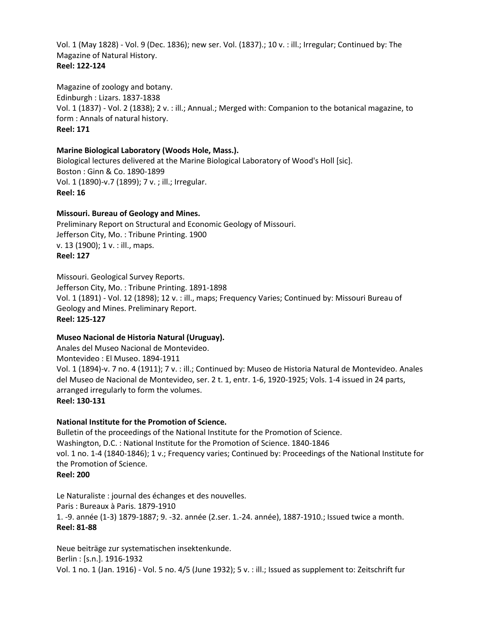Vol. 1 (May 1828) - Vol. 9 (Dec. 1836); new ser. Vol. (1837).; 10 v. : ill.; Irregular; Continued by: The Magazine of Natural History. **Reel: 122-124**

Magazine of zoology and botany. Edinburgh : Lizars. 1837-1838 Vol. 1 (1837) - Vol. 2 (1838); 2 v. : ill.; Annual.; Merged with: Companion to the botanical magazine, to form : Annals of natural history. **Reel: 171**

## **Marine Biological Laboratory (Woods Hole, Mass.).**

Biological lectures delivered at the Marine Biological Laboratory of Wood's Holl [sic]. Boston : Ginn & Co. 1890-1899 Vol. 1 (1890)-v.7 (1899); 7 v. ; ill.; Irregular. **Reel: 16**

## **Missouri. Bureau of Geology and Mines.**

Preliminary Report on Structural and Economic Geology of Missouri. Jefferson City, Mo. : Tribune Printing. 1900 v. 13 (1900); 1 v. : ill., maps. **Reel: 127**

Missouri. Geological Survey Reports. Jefferson City, Mo. : Tribune Printing. 1891-1898 Vol. 1 (1891) - Vol. 12 (1898); 12 v. : ill., maps; Frequency Varies; Continued by: Missouri Bureau of Geology and Mines. Preliminary Report. **Reel: 125-127**

#### **Museo Nacional de Historia Natural (Uruguay).**

Anales del Museo Nacional de Montevideo. Montevideo : El Museo. 1894-1911 Vol. 1 (1894)-v. 7 no. 4 (1911); 7 v. : ill.; Continued by: Museo de Historia Natural de Montevideo. Anales del Museo de Nacional de Montevideo, ser. 2 t. 1, entr. 1-6, 1920-1925; Vols. 1-4 issued in 24 parts, arranged irregularly to form the volumes. **Reel: 130-131**

## **National Institute for the Promotion of Science.**

Bulletin of the proceedings of the National Institute for the Promotion of Science. Washington, D.C. : National Institute for the Promotion of Science. 1840-1846 vol. 1 no. 1-4 (1840-1846); 1 v.; Frequency varies; Continued by: Proceedings of the National Institute for the Promotion of Science. **Reel: 200**

Le Naturaliste : journal des échanges et des nouvelles. Paris : Bureaux à Paris. 1879-1910 1. -9. année (1-3) 1879-1887; 9. -32. année (2.ser. 1.-24. année), 1887-1910.; Issued twice a month. **Reel: 81-88**

Neue beiträge zur systematischen insektenkunde. Berlin : [s.n.]. 1916-1932 Vol. 1 no. 1 (Jan. 1916) - Vol. 5 no. 4/5 (June 1932); 5 v. : ill.; Issued as supplement to: Zeitschrift fur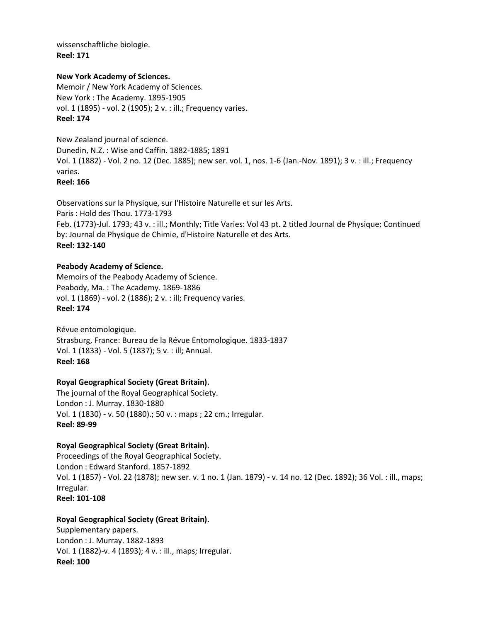wissenschaftliche biologie. **Reel: 171**

#### **New York Academy of Sciences.**

Memoir / New York Academy of Sciences. New York : The Academy. 1895-1905 vol. 1 (1895) - vol. 2 (1905); 2 v. : ill.; Frequency varies. **Reel: 174**

New Zealand journal of science. Dunedin, N.Z. : Wise and Caffin. 1882-1885; 1891 Vol. 1 (1882) - Vol. 2 no. 12 (Dec. 1885); new ser. vol. 1, nos. 1-6 (Jan.-Nov. 1891); 3 v. : ill.; Frequency varies. **Reel: 166**

Observations sur la Physique, sur l'Histoire Naturelle et sur les Arts. Paris : Hold des Thou. 1773-1793 Feb. (1773)-Jul. 1793; 43 v. : ill.; Monthly; Title Varies: Vol 43 pt. 2 titled Journal de Physique; Continued by: Journal de Physique de Chimie, d'Histoire Naturelle et des Arts. **Reel: 132-140**

## **Peabody Academy of Science.**

Memoirs of the Peabody Academy of Science. Peabody, Ma. : The Academy. 1869-1886 vol. 1 (1869) - vol. 2 (1886); 2 v. : ill; Frequency varies. **Reel: 174**

Révue entomologique. Strasburg, France: Bureau de la Révue Entomologique. 1833-1837 Vol. 1 (1833) - Vol. 5 (1837); 5 v. : ill; Annual. **Reel: 168**

## **Royal Geographical Society (Great Britain).**

The journal of the Royal Geographical Society. London : J. Murray. 1830-1880 Vol. 1 (1830) - v. 50 (1880).; 50 v. : maps ; 22 cm.; Irregular. **Reel: 89-99**

## **Royal Geographical Society (Great Britain).**

Proceedings of the Royal Geographical Society. London : Edward Stanford. 1857-1892 Vol. 1 (1857) - Vol. 22 (1878); new ser. v. 1 no. 1 (Jan. 1879) - v. 14 no. 12 (Dec. 1892); 36 Vol. : ill., maps; Irregular. **Reel: 101-108**

#### **Royal Geographical Society (Great Britain).**

Supplementary papers. London : J. Murray. 1882-1893 Vol. 1 (1882)-v. 4 (1893); 4 v. : ill., maps; Irregular. **Reel: 100**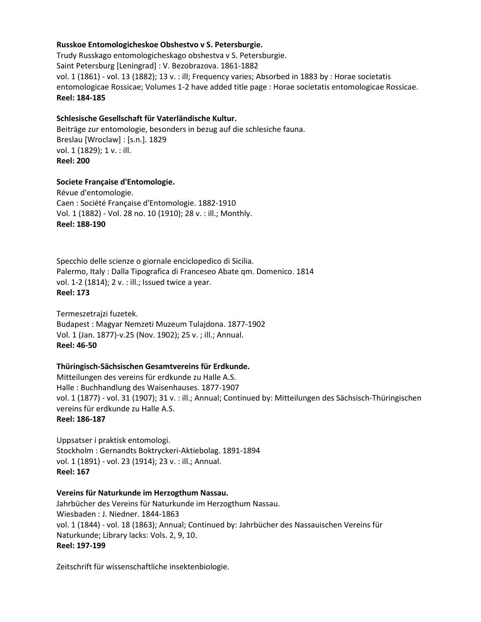#### **Russkoe Entomologicheskoe Obshestvo v S. Petersburgie.**

Trudy Russkago entomologicheskago obshestva v S. Petersburgie. Saint Petersburg [Leningrad] : V. Bezobrazova. 1861-1882 vol. 1 (1861) - vol. 13 (1882); 13 v. : ill; Frequency varies; Absorbed in 1883 by : Horae societatis entomologicae Rossicae; Volumes 1-2 have added title page : Horae societatis entomologicae Rossicae. **Reel: 184-185**

#### **Schlesische Gesellschaft für Vaterländische Kultur.**

Beiträge zur entomologie, besonders in bezug auf die schlesiche fauna. Breslau [Wroclaw] : [s.n.]. 1829 vol. 1 (1829); 1 v. : ill. **Reel: 200**

#### **Societe Française d'Entomologie.**

Révue d'entomologie. Caen : Société Française d'Entomologie. 1882-1910 Vol. 1 (1882) - Vol. 28 no. 10 (1910); 28 v. : ill.; Monthly. **Reel: 188-190**

Specchio delle scienze o giornale enciclopedico di Sicilia. Palermo, Italy : Dalla Tipografica di Franceseo Abate qm. Domenico. 1814 vol. 1-2 (1814); 2 v. : ill.; Issued twice a year. **Reel: 173**

Termeszetrajzi fuzetek. Budapest : Magyar Nemzeti Muzeum Tulajdona. 1877-1902 Vol. 1 (Jan. 1877)-v.25 (Nov. 1902); 25 v. ; ill.; Annual. **Reel: 46-50**

#### **Thüringisch-Sächsischen Gesamtvereins für Erdkunde.**

Mitteilungen des vereins für erdkunde zu Halle A.S. Halle : Buchhandlung des Waisenhauses. 1877-1907 vol. 1 (1877) - vol. 31 (1907); 31 v. : ill.; Annual; Continued by: Mitteilungen des Sächsisch-Thüringischen vereins für erdkunde zu Halle A.S. **Reel: 186-187**

Uppsatser i praktisk entomologi. Stockholm : Gernandts Boktryckeri-Aktiebolag. 1891-1894 vol. 1 (1891) - vol. 23 (1914); 23 v. : ill.; Annual. **Reel: 167**

#### **Vereins für Naturkunde im Herzogthum Nassau.**

Jahrbücher des Vereins für Naturkunde im Herzogthum Nassau. Wiesbaden : J. Niedner. 1844-1863 vol. 1 (1844) - vol. 18 (1863); Annual; Continued by: Jahrbücher des Nassauischen Vereins für Naturkunde; Library lacks: Vols. 2, 9, 10. **Reel: 197-199**

Zeitschrift für wissenschaftliche insektenbiologie.